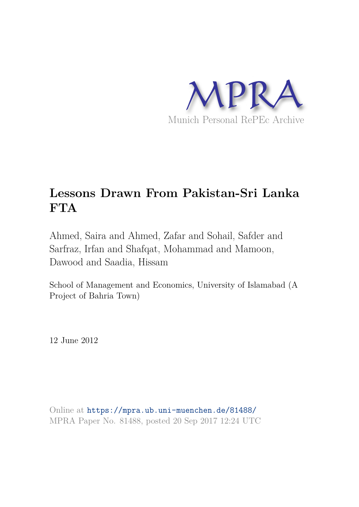

# **Lessons Drawn From Pakistan-Sri Lanka FTA**

Ahmed, Saira and Ahmed, Zafar and Sohail, Safder and Sarfraz, Irfan and Shafqat, Mohammad and Mamoon, Dawood and Saadia, Hissam

School of Management and Economics, University of Islamabad (A Project of Bahria Town)

12 June 2012

Online at https://mpra.ub.uni-muenchen.de/81488/ MPRA Paper No. 81488, posted 20 Sep 2017 12:24 UTC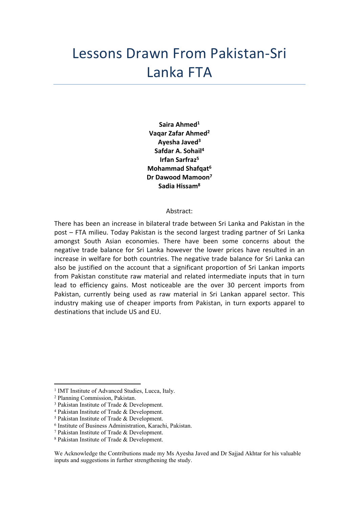# Lessons Drawn From Pakistan-Sri Lanka FTA

**Saira Ahmed<sup>1</sup> Vaqar Zafar Ahmed<sup>2</sup> Ayesha Javed<sup>3</sup> Safdar A. Sohail<sup>4</sup> Irfan Sarfraz<sup>5</sup> Mohammad Shafqat<sup>6</sup> Dr Dawood Mamoon<sup>7</sup> Sadia Hissam<sup>8</sup>**

#### Abstract:

There has been an increase in bilateral trade between Sri Lanka and Pakistan in the post – FTA milieu. Today Pakistan is the second largest trading partner of Sri Lanka amongst South Asian economies. There have been some concerns about the negative trade balance for Sri Lanka however the lower prices have resulted in an increase in welfare for both countries. The negative trade balance for Sri Lanka can also be justified on the account that a significant proportion of Sri Lankan imports from Pakistan constitute raw material and related intermediate inputs that in turn lead to efficiency gains. Most noticeable are the over 30 percent imports from Pakistan, currently being used as raw material in Sri Lankan apparel sector. This industry making use of cheaper imports from Pakistan, in turn exports apparel to destinations that include US and EU.

<sup>&</sup>lt;sup>1</sup> IMT Institute of Advanced Studies, Lucca, Italy.

<sup>2</sup> Planning Commission, Pakistan.

<sup>3</sup> Pakistan Institute of Trade & Development.

<sup>4</sup> Pakistan Institute of Trade & Development.

<sup>5</sup> Pakistan Institute of Trade & Development.

<sup>6</sup> Institute of Business Administration, Karachi, Pakistan.

<sup>7</sup> Pakistan Institute of Trade & Development.

<sup>8</sup> Pakistan Institute of Trade & Development.

We Acknowledge the Contributions made my Ms Ayesha Javed and Dr Sajjad Akhtar for his valuable inputs and suggestions in further strengthening the study.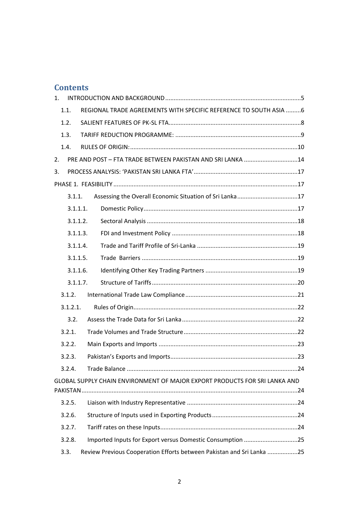# **Contents**

| 1.       |          |                                                                            |  |  |  |
|----------|----------|----------------------------------------------------------------------------|--|--|--|
|          | 1.1.     | REGIONAL TRADE AGREEMENTS WITH SPECIFIC REFERENCE TO SOUTH ASIA  6         |  |  |  |
|          | 1.2.     |                                                                            |  |  |  |
|          | 1.3.     |                                                                            |  |  |  |
|          | 1.4.     |                                                                            |  |  |  |
| 2.       |          | PRE AND POST - FTA TRADE BETWEEN PAKISTAN AND SRI LANKA 14                 |  |  |  |
| 3.       |          |                                                                            |  |  |  |
|          |          |                                                                            |  |  |  |
|          | 3.1.1.   |                                                                            |  |  |  |
|          |          | 3.1.1.1.                                                                   |  |  |  |
|          |          | 3.1.1.2.                                                                   |  |  |  |
|          |          | 3.1.1.3.                                                                   |  |  |  |
|          |          | 3.1.1.4.                                                                   |  |  |  |
| 3.1.1.5. |          |                                                                            |  |  |  |
|          |          | 3.1.1.6.                                                                   |  |  |  |
|          |          | 3.1.1.7.                                                                   |  |  |  |
|          | 3.1.2.   |                                                                            |  |  |  |
|          | 3.1.2.1. |                                                                            |  |  |  |
|          | 3.2.     |                                                                            |  |  |  |
|          | 3.2.1.   |                                                                            |  |  |  |
|          | 3.2.2.   |                                                                            |  |  |  |
|          | 3.2.3.   |                                                                            |  |  |  |
|          | 3.2.4.   |                                                                            |  |  |  |
|          |          | GLOBAL SUPPLY CHAIN ENVIRONMENT OF MAJOR EXPORT PRODUCTS FOR SRI LANKA AND |  |  |  |
|          | 3.2.5.   |                                                                            |  |  |  |
|          | 3.2.6.   |                                                                            |  |  |  |
|          | 3.2.7.   |                                                                            |  |  |  |
|          | 3.2.8.   | Imported Inputs for Export versus Domestic Consumption 25                  |  |  |  |
|          | 3.3.     | Review Previous Cooperation Efforts between Pakistan and Sri Lanka 25      |  |  |  |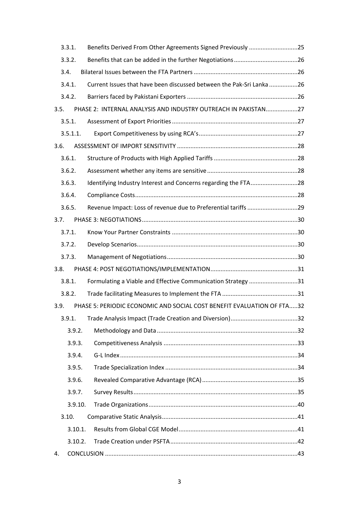|      | 3.3.1.   | Benefits Derived From Other Agreements Signed Previously 25            |  |
|------|----------|------------------------------------------------------------------------|--|
|      | 3.3.2.   |                                                                        |  |
|      | 3.4.     |                                                                        |  |
|      | 3.4.1.   | Current Issues that have been discussed between the Pak-Sri Lanka26    |  |
|      | 3.4.2.   |                                                                        |  |
| 3.5. |          | PHASE 2: INTERNAL ANALYSIS AND INDUSTRY OUTREACH IN PAKISTAN27         |  |
|      | 3.5.1.   |                                                                        |  |
|      | 3.5.1.1. |                                                                        |  |
| 3.6. |          |                                                                        |  |
|      | 3.6.1.   |                                                                        |  |
|      | 3.6.2.   |                                                                        |  |
|      | 3.6.3.   | Identifying Industry Interest and Concerns regarding the FTA28         |  |
|      | 3.6.4.   |                                                                        |  |
|      | 3.6.5.   | Revenue Impact: Loss of revenue due to Preferential tariffs 29         |  |
| 3.7. |          |                                                                        |  |
|      | 3.7.1.   |                                                                        |  |
|      | 3.7.2.   |                                                                        |  |
|      | 3.7.3.   |                                                                        |  |
| 3.8. |          |                                                                        |  |
|      | 3.8.1.   | Formulating a Viable and Effective Communication Strategy 31           |  |
|      | 3.8.2.   |                                                                        |  |
| 3.9. |          | PHASE 5: PERIODIC ECONOMIC AND SOCIAL COST BENEFIT EVALUATION OF FTA32 |  |
|      | 3.9.1.   |                                                                        |  |
|      | 3.9.2.   |                                                                        |  |
|      | 3.9.3.   |                                                                        |  |
|      | 3.9.4.   |                                                                        |  |
|      | 3.9.5.   |                                                                        |  |
|      | 3.9.6.   |                                                                        |  |
|      | 3.9.7.   |                                                                        |  |
|      | 3.9.10.  |                                                                        |  |
|      | 3.10.    |                                                                        |  |
|      | 3.10.1.  |                                                                        |  |
|      | 3.10.2.  |                                                                        |  |
| 4.   |          |                                                                        |  |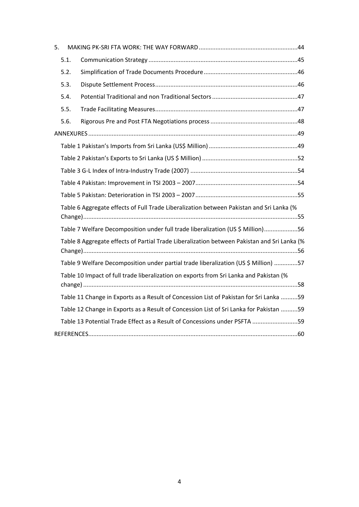| 5. |      |                                                                                             |  |
|----|------|---------------------------------------------------------------------------------------------|--|
|    | 5.1. |                                                                                             |  |
|    | 5.2. |                                                                                             |  |
|    | 5.3. |                                                                                             |  |
|    | 5.4. |                                                                                             |  |
|    | 5.5. |                                                                                             |  |
|    | 5.6. |                                                                                             |  |
|    |      |                                                                                             |  |
|    |      |                                                                                             |  |
|    |      |                                                                                             |  |
|    |      |                                                                                             |  |
|    |      |                                                                                             |  |
|    |      |                                                                                             |  |
|    |      | Table 6 Aggregate effects of Full Trade Liberalization between Pakistan and Sri Lanka (%    |  |
|    |      | Table 7 Welfare Decomposition under full trade liberalization (US \$ Million)56             |  |
|    |      | Table 8 Aggregate effects of Partial Trade Liberalization between Pakistan and Sri Lanka (% |  |
|    |      | Table 9 Welfare Decomposition under partial trade liberalization (US \$ Million) 57         |  |
|    |      | Table 10 Impact of full trade liberalization on exports from Sri Lanka and Pakistan (%      |  |
|    |      | Table 11 Change in Exports as a Result of Concession List of Pakistan for Sri Lanka 59      |  |
|    |      | Table 12 Change in Exports as a Result of Concession List of Sri Lanka for Pakistan 59      |  |
|    |      | Table 13 Potential Trade Effect as a Result of Concessions under PSFTA 59                   |  |
|    |      |                                                                                             |  |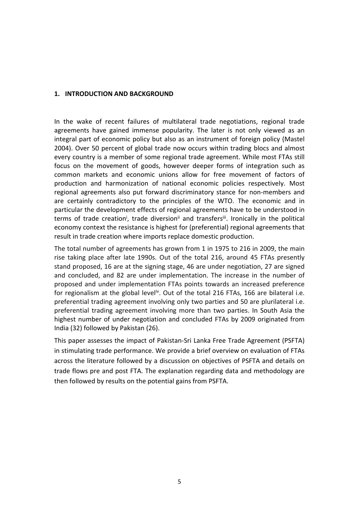#### **1. INTRODUCTION AND BACKGROUND**

In the wake of recent failures of multilateral trade negotiations, regional trade agreements have gained immense popularity. The later is not only viewed as an integral part of economic policy but also as an instrument of foreign policy (Mastel 2004). Over 50 percent of global trade now occurs within trading blocs and almost every country is a member of some regional trade agreement. While most FTAs still focus on the movement of goods, however deeper forms of integration such as common markets and economic unions allow for free movement of factors of production and harmonization of national economic policies respectively. Most regional agreements also put forward discriminatory stance for non-members and are certainly contradictory to the principles of the WTO. The economic and in particular the development effects of regional agreements have to be understood in terms of trade creation<sup>i</sup>, trade diversion<sup>ii</sup> and transfers<sup>iii</sup>. Ironically in the political economy context the resistance is highest for (preferential) regional agreements that result in trade creation where imports replace domestic production.

The total number of agreements has grown from 1 in 1975 to 216 in 2009, the main rise taking place after late 1990s. Out of the total 216, around 45 FTAs presently stand proposed, 16 are at the signing stage, 46 are under negotiation, 27 are signed and concluded, and 82 are under implementation. The increase in the number of proposed and under implementation FTAs points towards an increased preference for regionalism at the global level<sup>iv</sup>. Out of the total 216 FTAs, 166 are bilateral i.e. preferential trading agreement involving only two parties and 50 are plurilateral i.e. preferential trading agreement involving more than two parties. In South Asia the highest number of under negotiation and concluded FTAs by 2009 originated from India (32) followed by Pakistan (26).

This paper assesses the impact of Pakistan-Sri Lanka Free Trade Agreement (PSFTA) in stimulating trade performance. We provide a brief overview on evaluation of FTAs across the literature followed by a discussion on objectives of PSFTA and details on trade flows pre and post FTA. The explanation regarding data and methodology are then followed by results on the potential gains from PSFTA.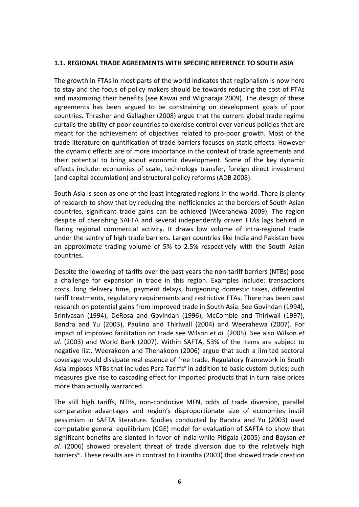#### **1.1. REGIONAL TRADE AGREEMENTS WITH SPECIFIC REFERENCE TO SOUTH ASIA**

The growth in FTAs in most parts of the world indicates that regionalism is now here to stay and the focus of policy makers should be towards reducing the cost of FTAs and maximizing their benefits (see Kawai and Wignaraja 2009). The design of these agreements has been argued to be constraining on development goals of poor countries. Thrasher and Gallagher (2008) argue that the current global trade regime curtails the ability of poor countries to exercise control over various policies that are meant for the achievement of objectives related to pro-poor growth. Most of the trade literature on quntification of trade barriers focuses on static effects. However the dynamic effects are of more importance in the context of trade agreements and their potential to bring about economic development. Some of the key dynamic effects include: economies of scale, technology transfer, foreign direct investment (and capital accumlation) and structural policy reforms (ADB 2008).

South Asia is seen as one of the least integrated regions in the world. There is plenty of research to show that by reducing the inefficiencies at the borders of South Asian countries, significant trade gains can be achieved (Weerahewa 2009). The region despite of cherishing SAFTA and several independently driven FTAs lags behind in flaring regional commercial activity. It draws low volume of intra-regional trade under the sentry of high trade barriers. Larger countries like India and Pakistan have an approximate trading volume of 5% to 2.5% respectively with the South Asian countries.

Despite the lowering of tariffs over the past years the non-tariff barriers (NTBs) pose a challenge for expansion in trade in this region. Examples include: transactions costs, long delivery time, payment delays, burgeoning domestic taxes, differential tariff treatments, regulatory requirements and restrictive FTAs. There has been past research on potential gains from improved trade in South Asia. See Govindan (1994), Srinivasan (1994), DeRosa and Govindan (1996), McCombie and Thirlwall (1997), Bandra and Yu (2003), Paulino and Thirlwall (2004) and Weerahewa (2007). For impact of improved facilitation on trade see Wilson *et al.* (2005). See also Wilson *et al.* (2003) and World Bank (2007). Within SAFTA, 53% of the items are subject to negative list. Weerakoon and Thenakoon (2006) argue that such a limited sectoral coverage would dissipate real essence of free trade. Regulatory framework in South Asia imposes NTBs that includes Para Tariffs<sup>v</sup> in addition to basic custom duties; such measures give rise to cascading effect for imported products that in turn raise prices more than actually warranted.

The still high tariffs, NTBs, non-conducive MFN, odds of trade diversion, parallel comparative advantages and region's disproportionate size of economies instill pessimism in SAFTA literature. Studies conducted by Bandra and Yu (2003) used computable general equilibrium (CGE) model for evaluation of SAFTA to show that significant benefits are slanted in favor of India while Pitigala (2005) and Baysan *et al.* (2006) showed prevalent threat of trade diversion due to the relatively high barriers<sup>vi</sup>. These results are in contrast to Hirantha (2003) that showed trade creation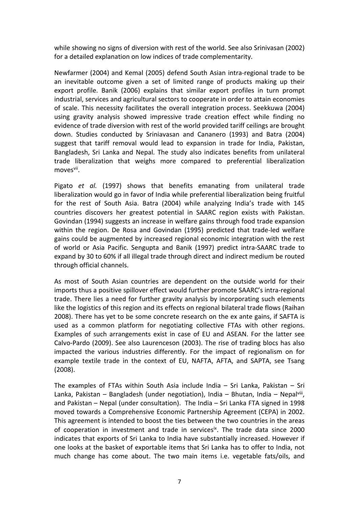while showing no signs of diversion with rest of the world. See also Srinivasan (2002) for a detailed explanation on low indices of trade complementarity.

Newfarmer (2004) and Kemal (2005) defend South Asian intra-regional trade to be an inevitable outcome given a set of limited range of products making up their export profile. Banik (2006) explains that similar export profiles in turn prompt industrial, services and agricultural sectors to cooperate in order to attain economies of scale. This necessity facilitates the overall integration process. Seekkuwa (2004) using gravity analysis showed impressive trade creation effect while finding no evidence of trade diversion with rest of the world provided tariff ceilings are brought down. Studies conducted by Sriniavasan and Cananero (1993) and Batra (2004) suggest that tariff removal would lead to expansion in trade for India, Pakistan, Bangladesh, Sri Lanka and Nepal. The study also indicates benefits from unilateral trade liberalization that weighs more compared to preferential liberalization moves<sup>vii</sup>.

Pigato *et al.* (1997) shows that benefits emanating from unilateral trade liberalization would go in favor of India while preferential liberalization being fruitful for the rest of South Asia. Batra (2004) while analyzing India's trade with 145 countries discovers her greatest potential in SAARC region exists with Pakistan. Govindan (1994) suggests an increase in welfare gains through food trade expansion within the region. De Rosa and Govindan (1995) predicted that trade-led welfare gains could be augmented by increased regional economic integration with the rest of world or Asia Pacific. Sengupta and Banik (1997) predict intra-SAARC trade to expand by 30 to 60% if all illegal trade through direct and indirect medium be routed through official channels.

As most of South Asian countries are dependent on the outside world for their imports thus a positive spillover effect would further promote SAARC's intra-regional trade. There lies a need for further gravity analysis by incorporating such elements like the logistics of this region and its effects on regional bilateral trade flows (Raihan 2008). There has yet to be some concrete research on the ex ante gains, if SAFTA is used as a common platform for negotiating collective FTAs with other regions. Examples of such arrangements exist in case of EU and ASEAN. For the latter see Calvo-Pardo (2009). See also Laurenceson (2003). The rise of trading blocs has also impacted the various industries differently. For the impact of regionalism on for example textile trade in the context of EU, NAFTA, AFTA, and SAPTA, see Tsang (2008).

The examples of FTAs within South Asia include India – Sri Lanka, Pakistan – Sri Lanka, Pakistan - Bangladesh (under negotiation), India - Bhutan, India - Nepalviii, and Pakistan – Nepal (under consultation). The India – Sri Lanka FTA signed in 1998 moved towards a Comprehensive Economic Partnership Agreement (CEPA) in 2002. This agreement is intended to boost the ties between the two countries in the areas of cooperation in investment and trade in services<sup>ix</sup>. The trade data since 2000 indicates that exports of Sri Lanka to India have substantially increased. However if one looks at the basket of exportable items that Sri Lanka has to offer to India, not much change has come about. The two main items i.e. vegetable fats/oils, and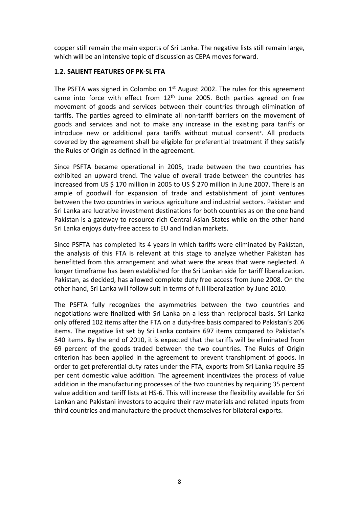copper still remain the main exports of Sri Lanka. The negative lists still remain large, which will be an intensive topic of discussion as CEPA moves forward.

#### **1.2. SALIENT FEATURES OF PK-SL FTA**

The PSFTA was signed in Colombo on  $1<sup>st</sup>$  August 2002. The rules for this agreement came into force with effect from 12<sup>th</sup> June 2005. Both parties agreed on free movement of goods and services between their countries through elimination of tariffs. The parties agreed to eliminate all non-tariff barriers on the movement of goods and services and not to make any increase in the existing para tariffs or introduce new or additional para tariffs without mutual consent<sup>x</sup>. All products covered by the agreement shall be eligible for preferential treatment if they satisfy the Rules of Origin as defined in the agreement.

Since PSFTA became operational in 2005, trade between the two countries has exhibited an upward trend. The value of overall trade between the countries has increased from US \$ 170 million in 2005 to US \$ 270 million in June 2007. There is an ample of goodwill for expansion of trade and establishment of joint ventures between the two countries in various agriculture and industrial sectors. Pakistan and Sri Lanka are lucrative investment destinations for both countries as on the one hand Pakistan is a gateway to resource-rich Central Asian States while on the other hand Sri Lanka enjoys duty-free access to EU and Indian markets.

Since PSFTA has completed its 4 years in which tariffs were eliminated by Pakistan, the analysis of this FTA is relevant at this stage to analyze whether Pakistan has benefitted from this arrangement and what were the areas that were neglected. A longer timeframe has been established for the Sri Lankan side for tariff liberalization. Pakistan, as decided, has allowed complete duty free access from June 2008. On the other hand, Sri Lanka will follow suit in terms of full liberalization by June 2010.

The PSFTA fully recognizes the asymmetries between the two countries and negotiations were finalized with Sri Lanka on a less than reciprocal basis. Sri Lanka only offered 102 items after the FTA on a duty-free basis compared to Pakistan's 206 items. The negative list set by Sri Lanka contains 697 items compared to Pakistan's 540 items. By the end of 2010, it is expected that the tariffs will be eliminated from 69 percent of the goods traded between the two countries. The Rules of Origin criterion has been applied in the agreement to prevent transhipment of goods. In order to get preferential duty rates under the FTA, exports from Sri Lanka require 35 per cent domestic value addition. The agreement incentivizes the process of value addition in the manufacturing processes of the two countries by requiring 35 percent value addition and tariff lists at HS-6. This will increase the flexibility available for Sri Lankan and Pakistani investors to acquire their raw materials and related inputs from third countries and manufacture the product themselves for bilateral exports.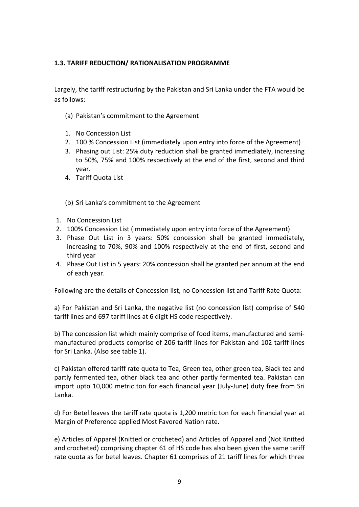#### **1.3. TARIFF REDUCTION/ RATIONALISATION PROGRAMME**

Largely, the tariff restructuring by the Pakistan and Sri Lanka under the FTA would be as follows:

- (a) Pakistan's commitment to the Agreement
- 1. No Concession List
- 2. 100 % Concession List (immediately upon entry into force of the Agreement)
- 3. Phasing out List: 25% duty reduction shall be granted immediately, increasing to 50%, 75% and 100% respectively at the end of the first, second and third year.
- 4. Tariff Quota List
- (b) Sri Lanka's commitment to the Agreement
- 1. No Concession List
- 2. 100% Concession List (immediately upon entry into force of the Agreement)
- 3. Phase Out List in 3 years: 50% concession shall be granted immediately, increasing to 70%, 90% and 100% respectively at the end of first, second and third year
- 4. Phase Out List in 5 years: 20% concession shall be granted per annum at the end of each year.

Following are the details of Concession list, no Concession list and Tariff Rate Quota:

a) For Pakistan and Sri Lanka, the negative list (no concession list) comprise of 540 tariff lines and 697 tariff lines at 6 digit HS code respectively.

b) The concession list which mainly comprise of food items, manufactured and semimanufactured products comprise of 206 tariff lines for Pakistan and 102 tariff lines for Sri Lanka. (Also see table 1).

c) Pakistan offered tariff rate quota to Tea, Green tea, other green tea, Black tea and partly fermented tea, other black tea and other partly fermented tea. Pakistan can import upto 10,000 metric ton for each financial year (July-June) duty free from Sri Lanka.

d) For Betel leaves the tariff rate quota is 1,200 metric ton for each financial year at Margin of Preference applied Most Favored Nation rate.

e) Articles of Apparel (Knitted or crocheted) and Articles of Apparel and (Not Knitted and crocheted) comprising chapter 61 of HS code has also been given the same tariff rate quota as for betel leaves. Chapter 61 comprises of 21 tariff lines for which three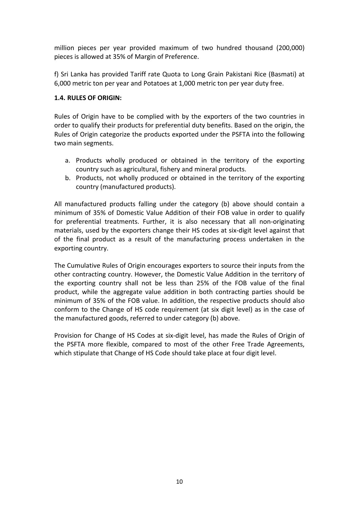million pieces per year provided maximum of two hundred thousand (200,000) pieces is allowed at 35% of Margin of Preference.

f) Sri Lanka has provided Tariff rate Quota to Long Grain Pakistani Rice (Basmati) at 6,000 metric ton per year and Potatoes at 1,000 metric ton per year duty free.

#### **1.4. RULES OF ORIGIN:**

Rules of Origin have to be complied with by the exporters of the two countries in order to qualify their products for preferential duty benefits. Based on the origin, the Rules of Origin categorize the products exported under the PSFTA into the following two main segments.

- a. Products wholly produced or obtained in the territory of the exporting country such as agricultural, fishery and mineral products.
- b. Products, not wholly produced or obtained in the territory of the exporting country (manufactured products).

All manufactured products falling under the category (b) above should contain a minimum of 35% of Domestic Value Addition of their FOB value in order to qualify for preferential treatments. Further, it is also necessary that all non-originating materials, used by the exporters change their HS codes at six-digit level against that of the final product as a result of the manufacturing process undertaken in the exporting country.

The Cumulative Rules of Origin encourages exporters to source their inputs from the other contracting country. However, the Domestic Value Addition in the territory of the exporting country shall not be less than 25% of the FOB value of the final product, while the aggregate value addition in both contracting parties should be minimum of 35% of the FOB value. In addition, the respective products should also conform to the Change of HS code requirement (at six digit level) as in the case of the manufactured goods, referred to under category (b) above.

Provision for Change of HS Codes at six-digit level, has made the Rules of Origin of the PSFTA more flexible, compared to most of the other Free Trade Agreements, which stipulate that Change of HS Code should take place at four digit level.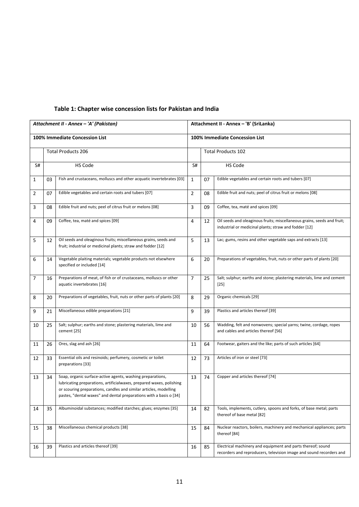|    |    | Attachment II - Annex - 'A' (Pakistan)                                                                                                                                                                                                                                        | Attachment II - Annex - 'B' (SriLanka) |                           |                                                                                                                                    |  |  |  |
|----|----|-------------------------------------------------------------------------------------------------------------------------------------------------------------------------------------------------------------------------------------------------------------------------------|----------------------------------------|---------------------------|------------------------------------------------------------------------------------------------------------------------------------|--|--|--|
|    |    | 100% Immediate Concession List                                                                                                                                                                                                                                                | 100% Immediate Concession List         |                           |                                                                                                                                    |  |  |  |
|    |    | <b>Total Products 206</b>                                                                                                                                                                                                                                                     |                                        | <b>Total Products 102</b> |                                                                                                                                    |  |  |  |
| S# |    | HS Code                                                                                                                                                                                                                                                                       | S#                                     |                           | <b>HS Code</b>                                                                                                                     |  |  |  |
| 1  | 03 | Fish and crustaceans, molluscs and other acquatic invertebrates [03]                                                                                                                                                                                                          | $\mathbf{1}$                           | 07                        | Edible vegetables and certain roots and tubers [07]                                                                                |  |  |  |
| 2  | 07 | Edible vegetables and certain roots and tubers [07]                                                                                                                                                                                                                           | $\overline{2}$                         | 08                        | Edible fruit and nuts; peel of citrus fruit or melons [08]                                                                         |  |  |  |
| 3  | 08 | Edible fruit and nuts; peel of citrus fruit or melons [08]                                                                                                                                                                                                                    | 3                                      | 09                        | Coffee, tea, maté and spices [09]                                                                                                  |  |  |  |
| 4  | 09 | Coffee, tea, maté and spices [09]                                                                                                                                                                                                                                             | 4                                      | 12                        | Oil seeds and oleaginous fruits; miscellaneous grains, seeds and fruit;<br>industrial or medicinal plants; straw and fodder [12]   |  |  |  |
| 5  | 12 | Oil seeds and oleaginous fruits; miscellaneous grains, seeds and<br>fruit; industrial or medicinal plants; straw and fodder [12]                                                                                                                                              | 5                                      | 13                        | Lac; gums, resins and other vegetable saps and extracts [13]                                                                       |  |  |  |
| 6  | 14 | Vegetable plaiting materials; vegetable products not elsewhere<br>specified or included [14]                                                                                                                                                                                  | 6                                      | 20                        | Preparations of vegetables, fruit, nuts or other parts of plants [20]                                                              |  |  |  |
| 7  | 16 | Preparations of meat, of fish or of crustaceans, molluscs or other<br>aquatic invertebrates [16]                                                                                                                                                                              | $\overline{7}$                         | 25                        | Salt; sulphur; earths and stone; plastering materials, lime and cement<br>$[25]$                                                   |  |  |  |
| 8  | 20 | Preparations of vegetables, fruit, nuts or other parts of plants [20]                                                                                                                                                                                                         | 8                                      | 29                        | Organic chemicals [29]                                                                                                             |  |  |  |
| 9  | 21 | Miscellaneous edible preparations [21]                                                                                                                                                                                                                                        | 9                                      | 39                        | Plastics and articles thereof [39]                                                                                                 |  |  |  |
| 10 | 25 | Salt; sulphur; earths and stone; plastering materials, lime and<br>cement [25]                                                                                                                                                                                                | 10                                     | 56                        | Wadding, felt and nonwovens; special yarns; twine, cordage, ropes<br>and cables and articles thereof [56]                          |  |  |  |
| 11 | 26 | Ores, slag and ash [26]                                                                                                                                                                                                                                                       | 11                                     | 64                        | Footwear, gaiters and the like; parts of such articles [64]                                                                        |  |  |  |
| 12 | 33 | Essential oils and resinoids; perfumery, cosmetic or toilet<br>preparations [33]                                                                                                                                                                                              | 12                                     | 73                        | Articles of iron or steel [73]                                                                                                     |  |  |  |
| 13 | 34 | Soap, organic surface-active agents, washing preparations,<br>lubricating preparations, artificialwaxes, prepared waxes, polishing<br>or scouring preparations, candles and similar articles, modelling<br>pastes, "dental waxes" and dental preparations with a basis o [34] | 13                                     | 74                        | Copper and articles thereof [74]                                                                                                   |  |  |  |
| 14 | 35 | Albuminoidal substances; modified starches; glues; enzymes [35]                                                                                                                                                                                                               | 14                                     | 82                        | Tools, implements, cutlery, spoons and forks, of base metal; parts<br>thereof of base metal [82]                                   |  |  |  |
| 15 | 38 | Miscellaneous chemical products [38]                                                                                                                                                                                                                                          | 15                                     | 84                        | Nuclear reactors, boilers, machinery and mechanical appliances; parts<br>thereof [84]                                              |  |  |  |
| 16 | 39 | Plastics and articles thereof [39]                                                                                                                                                                                                                                            | 16                                     | 85                        | Electrical machinery and equipment and parts thereof; sound<br>recorders and reproducers, television image and sound recorders and |  |  |  |

#### **Table 1: Chapter wise concession lists for Pakistan and India**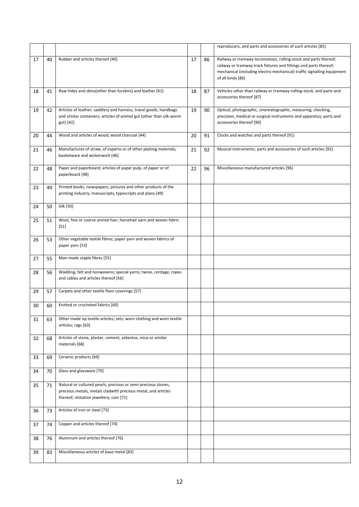|    |    |                                                                                                                                                                           |    |    | reproducers, and parts and accessories of such articles [85]                                                                                                                                                                         |
|----|----|---------------------------------------------------------------------------------------------------------------------------------------------------------------------------|----|----|--------------------------------------------------------------------------------------------------------------------------------------------------------------------------------------------------------------------------------------|
| 17 | 40 | Rubber and articles thereof [40]                                                                                                                                          | 17 | 86 | Railway or tramway locomotives, rolling-stock and parts thereof;<br>railway or tramway track fixtures and fittings and parts thereof;<br>mechanical (including electro-mechanical) traffic signalling equipment<br>of all kinds [86] |
| 18 | 41 | Raw hides and skins(other than furskins) and leather [41]                                                                                                                 | 18 | 87 | Vehicles other than railway or tramway rolling-stock, and parts and<br>accessories thereof [87]                                                                                                                                      |
| 19 | 42 | Articles of leather; saddlery and harness; travel goods, handbags<br>and similar containers; articles of animal gut (other than silk-worm<br>gut) [42]                    | 19 | 90 | Optical, photographic, cinematographic, measuring, checking,<br>precision, medical or surgical instruments and apparatus; parts and<br>accessories thereof [90]                                                                      |
| 20 | 44 | Wood and articles of wood; wood charcoal [44]                                                                                                                             | 20 | 91 | Clocks and watches and parts thereof [91]                                                                                                                                                                                            |
| 21 | 46 | Manufactures of straw, of esparto or of other plaiting materials;<br>basketware and wickerwork [46]                                                                       | 21 | 92 | Musical instruments; parts and accessories of such articles [92]                                                                                                                                                                     |
| 22 | 48 | Paper and paperboard; articles of paper pulp, of paper or of<br>paperboard [48]                                                                                           | 22 | 96 | Miscellaneous manufactured articles [96]                                                                                                                                                                                             |
| 23 | 49 | Printed books, newspapers, pictures and other products of the<br>printing industry; manuscripts, typescripts and plans [49]                                               |    |    |                                                                                                                                                                                                                                      |
| 24 | 50 | Silk [50]                                                                                                                                                                 |    |    |                                                                                                                                                                                                                                      |
| 25 | 51 | Wool, fine or coarse animal hair; horsehair yarn and woven fabric<br>$[51]$                                                                                               |    |    |                                                                                                                                                                                                                                      |
| 26 | 53 | Other vegetable textile fibres; paper yarn and woven fabrics of<br>paper yarn [53]                                                                                        |    |    |                                                                                                                                                                                                                                      |
| 27 | 55 | Man-made staple fibres [55]                                                                                                                                               |    |    |                                                                                                                                                                                                                                      |
| 28 | 56 | Wadding, felt and nonwovens; special yarns; twine, cordage, ropes<br>and cables and articles thereof [56]                                                                 |    |    |                                                                                                                                                                                                                                      |
| 29 | 57 | Carpets and other textile floor coverings [57]                                                                                                                            |    |    |                                                                                                                                                                                                                                      |
| 30 | 60 | Knitted or crocheted fabrics [60]                                                                                                                                         |    |    |                                                                                                                                                                                                                                      |
| 31 | 63 | Other made up textile articles; sets; worn clothing and worn textile<br>articles; rags [63]                                                                               |    |    |                                                                                                                                                                                                                                      |
| 32 | 68 | Articles of stone, plaster, cement, asbestos, mica or similar<br>materials [68]                                                                                           |    |    |                                                                                                                                                                                                                                      |
| 33 | 69 | Ceramic products [69]                                                                                                                                                     |    |    |                                                                                                                                                                                                                                      |
| 34 | 70 | Glass and glassware [70]                                                                                                                                                  |    |    |                                                                                                                                                                                                                                      |
| 35 | 71 | Natural or cultured pearls, precious or semi-precious stones,<br>precious metals, metals cladwith precious metal, and articles<br>thereof; imitation jewellery; coin [71] |    |    |                                                                                                                                                                                                                                      |
| 36 | 73 | Articles of iron or steel [73]                                                                                                                                            |    |    |                                                                                                                                                                                                                                      |
| 37 | 74 | Copper and articles thereof [74]                                                                                                                                          |    |    |                                                                                                                                                                                                                                      |
| 38 | 76 | Aluminum and articles thereof [76]                                                                                                                                        |    |    |                                                                                                                                                                                                                                      |
| 39 | 83 | Miscellaneous articles of base metal [83]                                                                                                                                 |    |    |                                                                                                                                                                                                                                      |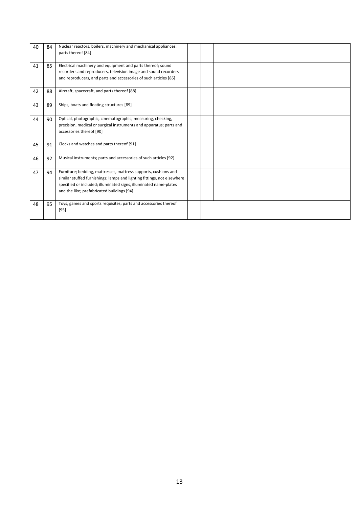| 40 | 84 | Nuclear reactors, boilers, machinery and mechanical appliances;<br>parts thereof [84]                                                                                                                                                                         |  |  |
|----|----|---------------------------------------------------------------------------------------------------------------------------------------------------------------------------------------------------------------------------------------------------------------|--|--|
| 41 | 85 | Electrical machinery and equipment and parts thereof; sound<br>recorders and reproducers, television image and sound recorders<br>and reproducers, and parts and accessories of such articles [85]                                                            |  |  |
| 42 | 88 | Aircraft, spacecraft, and parts thereof [88]                                                                                                                                                                                                                  |  |  |
| 43 | 89 | Ships, boats and floating structures [89]                                                                                                                                                                                                                     |  |  |
| 44 | 90 | Optical, photographic, cinematographic, measuring, checking,<br>precision, medical or surgical instruments and apparatus; parts and<br>accessories thereof [90]                                                                                               |  |  |
| 45 | 91 | Clocks and watches and parts thereof [91]                                                                                                                                                                                                                     |  |  |
| 46 | 92 | Musical instruments; parts and accessories of such articles [92]                                                                                                                                                                                              |  |  |
| 47 | 94 | Furniture; bedding, mattresses, mattress supports, cushions and<br>similar stuffed furnishings; lamps and lighting fittings, not elsewhere<br>specified or included; illuminated signs, illuminated name-plates<br>and the like; prefabricated buildings [94] |  |  |
| 48 | 95 | Toys, games and sports requisites; parts and accessories thereof<br>$[95]$                                                                                                                                                                                    |  |  |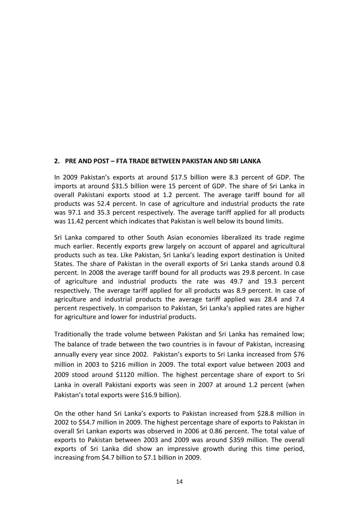#### **2. PRE AND POST – FTA TRADE BETWEEN PAKISTAN AND SRI LANKA**

In 2009 Pakistan's exports at around \$17.5 billion were 8.3 percent of GDP. The imports at around \$31.5 billion were 15 percent of GDP. The share of Sri Lanka in overall Pakistani exports stood at 1.2 percent. The average tariff bound for all products was 52.4 percent. In case of agriculture and industrial products the rate was 97.1 and 35.3 percent respectively. The average tariff applied for all products was 11.42 percent which indicates that Pakistan is well below its bound limits.

Sri Lanka compared to other South Asian economies liberalized its trade regime much earlier. Recently exports grew largely on account of apparel and agricultural products such as tea. Like Pakistan, Sri Lanka's leading export destination is United States. The share of Pakistan in the overall exports of Sri Lanka stands around 0.8 percent. In 2008 the average tariff bound for all products was 29.8 percent. In case of agriculture and industrial products the rate was 49.7 and 19.3 percent respectively. The average tariff applied for all products was 8.9 percent. In case of agriculture and industrial products the average tariff applied was 28.4 and 7.4 percent respectively. In comparison to Pakistan, Sri Lanka's applied rates are higher for agriculture and lower for industrial products.

Traditionally the trade volume between Pakistan and Sri Lanka has remained low; The balance of trade between the two countries is in favour of Pakistan, increasing annually every year since 2002. Pakistan's exports to Sri Lanka increased from \$76 million in 2003 to \$216 million in 2009. The total export value between 2003 and 2009 stood around \$1120 million. The highest percentage share of export to Sri Lanka in overall Pakistani exports was seen in 2007 at around 1.2 percent (when Pakistan's total exports were \$16.9 billion).

On the other hand Sri Lanka's exports to Pakistan increased from \$28.8 million in 2002 to \$54.7 million in 2009. The highest percentage share of exports to Pakistan in overall Sri Lankan exports was observed in 2006 at 0.86 percent. The total value of exports to Pakistan between 2003 and 2009 was around \$359 million. The overall exports of Sri Lanka did show an impressive growth during this time period, increasing from \$4.7 billion to \$7.1 billion in 2009.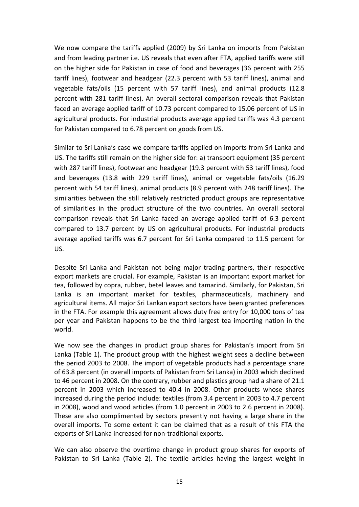We now compare the tariffs applied (2009) by Sri Lanka on imports from Pakistan and from leading partner i.e. US reveals that even after FTA, applied tariffs were still on the higher side for Pakistan in case of food and beverages (36 percent with 255 tariff lines), footwear and headgear (22.3 percent with 53 tariff lines), animal and vegetable fats/oils (15 percent with 57 tariff lines), and animal products (12.8 percent with 281 tariff lines). An overall sectoral comparison reveals that Pakistan faced an average applied tariff of 10.73 percent compared to 15.06 percent of US in agricultural products. For industrial products average applied tariffs was 4.3 percent for Pakistan compared to 6.78 percent on goods from US.

Similar to Sri Lanka's case we compare tariffs applied on imports from Sri Lanka and US. The tariffs still remain on the higher side for: a) transport equipment (35 percent with 287 tariff lines), footwear and headgear (19.3 percent with 53 tariff lines), food and beverages (13.8 with 229 tariff lines), animal or vegetable fats/oils (16.29 percent with 54 tariff lines), animal products (8.9 percent with 248 tariff lines). The similarities between the still relatively restricted product groups are representative of similarities in the product structure of the two countries. An overall sectoral comparison reveals that Sri Lanka faced an average applied tariff of 6.3 percent compared to 13.7 percent by US on agricultural products. For industrial products average applied tariffs was 6.7 percent for Sri Lanka compared to 11.5 percent for US.

Despite Sri Lanka and Pakistan not being major trading partners, their respective export markets are crucial. For example, Pakistan is an important export market for tea, followed by copra, rubber, betel leaves and tamarind. Similarly, for Pakistan, Sri Lanka is an important market for textiles, pharmaceuticals, machinery and agricultural items. All major Sri Lankan export sectors have been granted preferences in the FTA. For example this agreement allows duty free entry for 10,000 tons of tea per year and Pakistan happens to be the third largest tea importing nation in the world.

We now see the changes in product group shares for Pakistan's import from Sri Lanka (Table 1). The product group with the highest weight sees a decline between the period 2003 to 2008. The import of vegetable products had a percentage share of 63.8 percent (in overall imports of Pakistan from Sri Lanka) in 2003 which declined to 46 percent in 2008. On the contrary, rubber and plastics group had a share of 21.1 percent in 2003 which increased to 40.4 in 2008. Other products whose shares increased during the period include: textiles (from 3.4 percent in 2003 to 4.7 percent in 2008), wood and wood articles (from 1.0 percent in 2003 to 2.6 percent in 2008). These are also complimented by sectors presently not having a large share in the overall imports. To some extent it can be claimed that as a result of this FTA the exports of Sri Lanka increased for non-traditional exports.

We can also observe the overtime change in product group shares for exports of Pakistan to Sri Lanka (Table 2). The textile articles having the largest weight in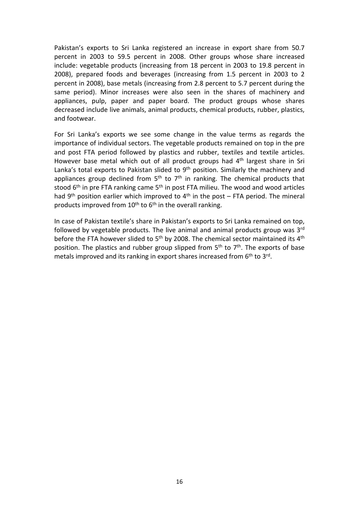Pakistan's exports to Sri Lanka registered an increase in export share from 50.7 percent in 2003 to 59.5 percent in 2008. Other groups whose share increased include: vegetable products (increasing from 18 percent in 2003 to 19.8 percent in 2008), prepared foods and beverages (increasing from 1.5 percent in 2003 to 2 percent in 2008), base metals (increasing from 2.8 percent to 5.7 percent during the same period). Minor increases were also seen in the shares of machinery and appliances, pulp, paper and paper board. The product groups whose shares decreased include live animals, animal products, chemical products, rubber, plastics, and footwear.

For Sri Lanka's exports we see some change in the value terms as regards the importance of individual sectors. The vegetable products remained on top in the pre and post FTA period followed by plastics and rubber, textiles and textile articles. However base metal which out of all product groups had 4<sup>th</sup> largest share in Sri Lanka's total exports to Pakistan slided to  $9<sup>th</sup>$  position. Similarly the machinery and appliances group declined from  $5<sup>th</sup>$  to  $7<sup>th</sup>$  in ranking. The chemical products that stood  $6<sup>th</sup>$  in pre FTA ranking came  $5<sup>th</sup>$  in post FTA milieu. The wood and wood articles had  $9<sup>th</sup>$  position earlier which improved to  $4<sup>th</sup>$  in the post – FTA period. The mineral products improved from  $10^{th}$  to  $6^{th}$  in the overall ranking.

In case of Pakistan textile's share in Pakistan's exports to Sri Lanka remained on top, followed by vegetable products. The live animal and animal products group was  $3<sup>rd</sup>$ before the FTA however slided to  $5<sup>th</sup>$  by 2008. The chemical sector maintained its  $4<sup>th</sup>$ position. The plastics and rubber group slipped from  $5<sup>th</sup>$  to  $7<sup>th</sup>$ . The exports of base metals improved and its ranking in export shares increased from 6<sup>th</sup> to 3<sup>rd</sup>.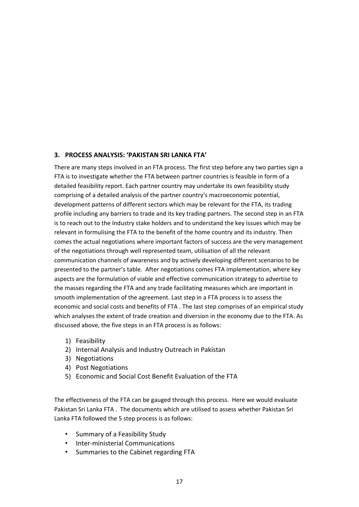#### **3. PROCESS ANALYSIS: 'PAKISTAN SRI LANKA FTA'**

There are many steps involved in an FTA process. The first step before any two parties sign a FTA is to investigate whether the FTA between partner countries is feasible in form of a detailed feasibility report. Each partner country may undertake its own feasibility study comprising of a detailed analysis of the partner country's macroeconomic potential, development patterns of different sectors which may be relevant for the FTA, its trading profile including any barriers to trade and its key trading partners. The second step in an FTA is to reach out to the Industry stake holders and to understand the key issues which may be relevant in formulising the FTA to the benefit of the home country and its industry. Then comes the actual negotiations where important factors of success are the very management of the negotiations through well represented team, utilisation of all the relevant communication channels of awareness and by actively developing different scenarios to be presented to the partner's table. After negotiations comes FTA implementation, where key aspects are the formulation of viable and effective communication strategy to advertise to the masses regarding the FTA and any trade facilitating measures which are important in smooth implementation of the agreement. Last step in a FTA process is to assess the economic and social costs and benefits of FTA . The last step comprises of an empirical study which analyses the extent of trade creation and diversion in the economy due to the FTA. As discussed above, the five steps in an FTA process is as follows:

- 1) Feasibility
- 2) Internal Analysis and Industry Outreach in Pakistan
- 3) Negotiations
- 4) Post Negotiations
- 5) Economic and Social Cost Benefit Evaluation of the FTA

The effectiveness of the FTA can be gauged through this process. Here we would evaluate Pakistan Sri Lanka FTA . The documents which are utilised to assess whether Pakistan Sri Lanka FTA followed the 5 step process is as follows:

- Summary of a Feasibility Study
- Inter-ministerial Communications
- Summaries to the Cabinet regarding FTA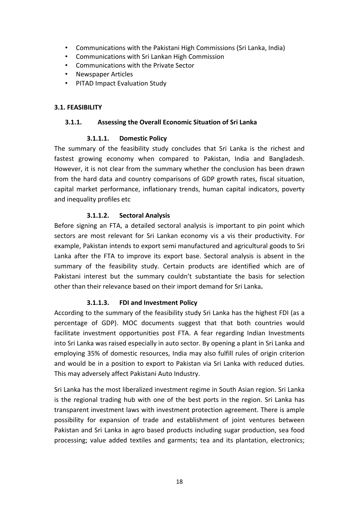- Communications with the Pakistani High Commissions (Sri Lanka, India)
- Communications with Sri Lankan High Commission
- ï Communications with the Private Sector
- Newspaper Articles
- PITAD Impact Evaluation Study

#### **3.1. FEASIBILITY**

#### **3.1.1. Assessing the Overall Economic Situation of Sri Lanka**

#### **3.1.1.1. Domestic Policy**

The summary of the feasibility study concludes that Sri Lanka is the richest and fastest growing economy when compared to Pakistan, India and Bangladesh. However, it is not clear from the summary whether the conclusion has been drawn from the hard data and country comparisons of GDP growth rates, fiscal situation, capital market performance, inflationary trends, human capital indicators, poverty and inequality profiles etc

#### **3.1.1.2. Sectoral Analysis**

Before signing an FTA, a detailed sectoral analysis is important to pin point which sectors are most relevant for Sri Lankan economy vis a vis their productivity. For example, Pakistan intends to export semi manufactured and agricultural goods to Sri Lanka after the FTA to improve its export base. Sectoral analysis is absent in the summary of the feasibility study. Certain products are identified which are of Pakistani interest but the summary couldn't substantiate the basis for selection other than their relevance based on their import demand for Sri Lanka**.** 

#### **3.1.1.3. FDI and Investment Policy**

According to the summary of the feasibility study Sri Lanka has the highest FDI (as a percentage of GDP). MOC documents suggest that that both countries would facilitate investment opportunities post FTA. A fear regarding Indian Investments into Sri Lanka was raised especially in auto sector. By opening a plant in Sri Lanka and employing 35% of domestic resources, India may also fulfill rules of origin criterion and would be in a position to export to Pakistan via Sri Lanka with reduced duties. This may adversely affect Pakistani Auto Industry.

Sri Lanka has the most liberalized investment regime in South Asian region. Sri Lanka is the regional trading hub with one of the best ports in the region. Sri Lanka has transparent investment laws with investment protection agreement. There is ample possibility for expansion of trade and establishment of joint ventures between Pakistan and Sri Lanka in agro based products including sugar production, sea food processing; value added textiles and garments; tea and its plantation, electronics;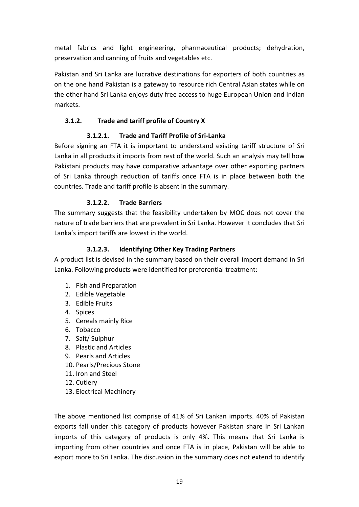metal fabrics and light engineering, pharmaceutical products; dehydration, preservation and canning of fruits and vegetables etc.

Pakistan and Sri Lanka are lucrative destinations for exporters of both countries as on the one hand Pakistan is a gateway to resource rich Central Asian states while on the other hand Sri Lanka enjoys duty free access to huge European Union and Indian markets.

#### **3.1.2. Trade and tariff profile of Country X**

#### **3.1.2.1. Trade and Tariff Profile of Sri-Lanka**

Before signing an FTA it is important to understand existing tariff structure of Sri Lanka in all products it imports from rest of the world. Such an analysis may tell how Pakistani products may have comparative advantage over other exporting partners of Sri Lanka through reduction of tariffs once FTA is in place between both the countries. Trade and tariff profile is absent in the summary.

#### **3.1.2.2. Trade Barriers**

The summary suggests that the feasibility undertaken by MOC does not cover the nature of trade barriers that are prevalent in Sri Lanka. However it concludes that Sri Lanka's import tariffs are lowest in the world.

#### **3.1.2.3. Identifying Other Key Trading Partners**

A product list is devised in the summary based on their overall import demand in Sri Lanka. Following products were identified for preferential treatment:

- 1. Fish and Preparation
- 2. Edible Vegetable
- 3. Edible Fruits
- 4. Spices
- 5. Cereals mainly Rice
- 6. Tobacco
- 7. Salt/ Sulphur
- 8. Plastic and Articles
- 9. Pearls and Articles
- 10. Pearls/Precious Stone
- 11. Iron and Steel
- 12. Cutlery
- 13. Electrical Machinery

The above mentioned list comprise of 41% of Sri Lankan imports. 40% of Pakistan exports fall under this category of products however Pakistan share in Sri Lankan imports of this category of products is only 4%. This means that Sri Lanka is importing from other countries and once FTA is in place, Pakistan will be able to export more to Sri Lanka. The discussion in the summary does not extend to identify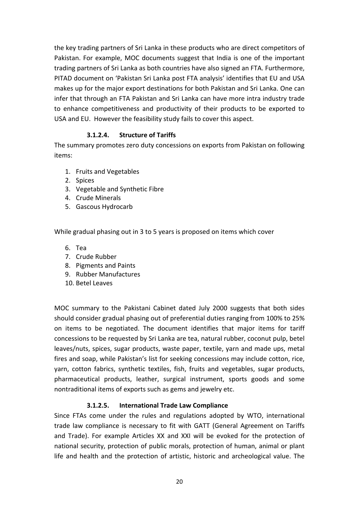the key trading partners of Sri Lanka in these products who are direct competitors of Pakistan. For example, MOC documents suggest that India is one of the important trading partners of Sri Lanka as both countries have also signed an FTA. Furthermore, PITAD document on 'Pakistan Sri Lanka post FTA analysis' identifies that EU and USA makes up for the major export destinations for both Pakistan and Sri Lanka. One can infer that through an FTA Pakistan and Sri Lanka can have more intra industry trade to enhance competitiveness and productivity of their products to be exported to USA and EU. However the feasibility study fails to cover this aspect.

#### **3.1.2.4. Structure of Tariffs**

The summary promotes zero duty concessions on exports from Pakistan on following items:

- 1. Fruits and Vegetables
- 2. Spices
- 3. Vegetable and Synthetic Fibre
- 4. Crude Minerals
- 5. Gascous Hydrocarb

While gradual phasing out in 3 to 5 years is proposed on items which cover

- 6. Tea
- 7. Crude Rubber
- 8. Pigments and Paints
- 9. Rubber Manufactures
- 10. Betel Leaves

MOC summary to the Pakistani Cabinet dated July 2000 suggests that both sides should consider gradual phasing out of preferential duties ranging from 100% to 25% on items to be negotiated. The document identifies that major items for tariff concessions to be requested by Sri Lanka are tea, natural rubber, coconut pulp, betel leaves/nuts, spices, sugar products, waste paper, textile, yarn and made ups, metal fires and soap, while Pakistan's list for seeking concessions may include cotton, rice, yarn, cotton fabrics, synthetic textiles, fish, fruits and vegetables, sugar products, pharmaceutical products, leather, surgical instrument, sports goods and some nontraditional items of exports such as gems and jewelry etc.

#### **3.1.2.5. International Trade Law Compliance**

Since FTAs come under the rules and regulations adopted by WTO, international trade law compliance is necessary to fit with GATT (General Agreement on Tariffs and Trade). For example Articles XX and XXI will be evoked for the protection of national security, protection of public morals, protection of human, animal or plant life and health and the protection of artistic, historic and archeological value. The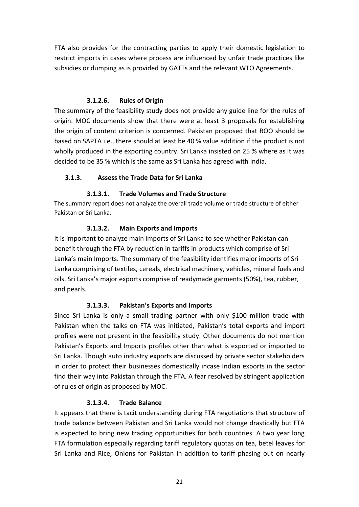FTA also provides for the contracting parties to apply their domestic legislation to restrict imports in cases where process are influenced by unfair trade practices like subsidies or dumping as is provided by GATTs and the relevant WTO Agreements.

#### **3.1.2.6. Rules of Origin**

The summary of the feasibility study does not provide any guide line for the rules of origin. MOC documents show that there were at least 3 proposals for establishing the origin of content criterion is concerned. Pakistan proposed that ROO should be based on SAPTA i.e., there should at least be 40 % value addition if the product is not wholly produced in the exporting country. Sri Lanka insisted on 25 % where as it was decided to be 35 % which is the same as Sri Lanka has agreed with India.

#### **3.1.3. Assess the Trade Data for Sri Lanka**

#### **3.1.3.1. Trade Volumes and Trade Structure**

The summary report does not analyze the overall trade volume or trade structure of either Pakistan or Sri Lanka.

#### **3.1.3.2. Main Exports and Imports**

It is important to analyze main imports of Sri Lanka to see whether Pakistan can benefit through the FTA by reduction in tariffs in products which comprise of Sri Lanka's main Imports. The summary of the feasibility identifies major imports of Sri Lanka comprising of textiles, cereals, electrical machinery, vehicles, mineral fuels and oils. Sri Lanka's major exports comprise of readymade garments (50%), tea, rubber, and pearls.

## **3.1.3.3. Pakistan's Exports and Imports**

Since Sri Lanka is only a small trading partner with only \$100 million trade with Pakistan when the talks on FTA was initiated, Pakistan's total exports and import profiles were not present in the feasibility study. Other documents do not mention Pakistan's Exports and Imports profiles other than what is exported or imported to Sri Lanka. Though auto industry exports are discussed by private sector stakeholders in order to protect their businesses domestically incase Indian exports in the sector find their way into Pakistan through the FTA. A fear resolved by stringent application of rules of origin as proposed by MOC.

## **3.1.3.4. Trade Balance**

It appears that there is tacit understanding during FTA negotiations that structure of trade balance between Pakistan and Sri Lanka would not change drastically but FTA is expected to bring new trading opportunities for both countries. A two year long FTA formulation especially regarding tariff regulatory quotas on tea, betel leaves for Sri Lanka and Rice, Onions for Pakistan in addition to tariff phasing out on nearly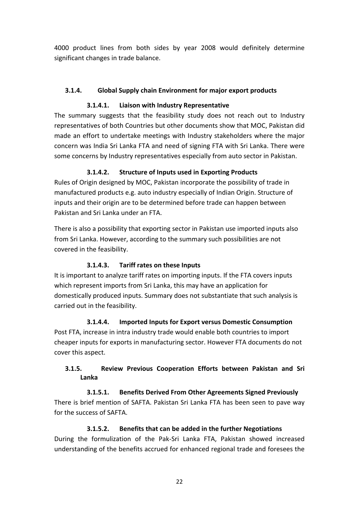4000 product lines from both sides by year 2008 would definitely determine significant changes in trade balance.

## **3.1.4. Global Supply chain Environment for major export products**

#### **3.1.4.1. Liaison with Industry Representative**

The summary suggests that the feasibility study does not reach out to Industry representatives of both Countries but other documents show that MOC, Pakistan did made an effort to undertake meetings with Industry stakeholders where the major concern was India Sri Lanka FTA and need of signing FTA with Sri Lanka. There were some concerns by Industry representatives especially from auto sector in Pakistan.

## **3.1.4.2. Structure of Inputs used in Exporting Products**

Rules of Origin designed by MOC, Pakistan incorporate the possibility of trade in manufactured products e.g. auto industry especially of Indian Origin. Structure of inputs and their origin are to be determined before trade can happen between Pakistan and Sri Lanka under an FTA.

There is also a possibility that exporting sector in Pakistan use imported inputs also from Sri Lanka. However, according to the summary such possibilities are not covered in the feasibility.

## **3.1.4.3. Tariff rates on these Inputs**

It is important to analyze tariff rates on importing inputs. If the FTA covers inputs which represent imports from Sri Lanka, this may have an application for domestically produced inputs. Summary does not substantiate that such analysis is carried out in the feasibility.

#### **3.1.4.4. Imported Inputs for Export versus Domestic Consumption**

Post FTA, increase in intra industry trade would enable both countries to import cheaper inputs for exports in manufacturing sector. However FTA documents do not cover this aspect.

## **3.1.5. Review Previous Cooperation Efforts between Pakistan and Sri Lanka**

**3.1.5.1. Benefits Derived From Other Agreements Signed Previously** There is brief mention of SAFTA. Pakistan Sri Lanka FTA has been seen to pave way for the success of SAFTA.

#### **3.1.5.2. Benefits that can be added in the further Negotiations**

During the formulization of the Pak-Sri Lanka FTA, Pakistan showed increased understanding of the benefits accrued for enhanced regional trade and foresees the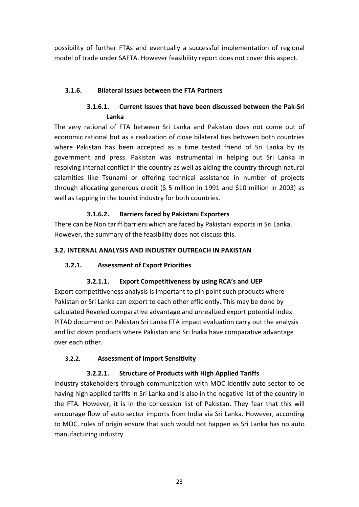possibility of further FTAs and eventually a successful implementation of regional model of trade under SAFTA. However feasibility report does not cover this aspect.

#### **3.1.6. Bilateral Issues between the FTA Partners**

# **3.1.6.1. Current Issues that have been discussed between the Pak-Sri Lanka**

The very rational of FTA between Sri Lanka and Pakistan does not come out of economic rational but as a realization of close bilateral ties between both countries where Pakistan has been accepted as a time tested friend of Sri Lanka by its government and press. Pakistan was instrumental in helping out Sri Lanka in resolving internal conflict in the country as well as aiding the country through natural calamities like Tsunami or offering technical assistance in number of projects through allocating generous credit (\$ 5 million in 1991 and \$10 million in 2003) as well as tapping in the tourist industry for both countries.

## **3.1.6.2. Barriers faced by Pakistani Exporters**

There can be Non tariff barriers which are faced by Pakistani exports in Sri Lanka. However, the summary of the feasibility does not discuss this.

#### **3.2. INTERNAL ANALYSIS AND INDUSTRY OUTREACH IN PAKISTAN**

## **3.2.1. Assessment of Export Priorities**

## **3.2.1.1. Export Competitiveness by using RCA's and UEP**

Export competitiveness analysis is important to pin point such products where Pakistan or Sri Lanka can export to each other efficiently. This may be done by calculated Reveled comparative advantage and unrealized export potential index. PITAD document on Pakistan Sri Lanka FTA impact evaluation carry out the analysis and list down products where Pakistan and Sri lnaka have comparative advantage over each other.

#### **3.2.2. Assessment of Import Sensitivity**

## **3.2.2.1. Structure of Products with High Applied Tariffs**

Industry stakeholders through communication with MOC identify auto sector to be having high applied tariffs in Sri Lanka and is also in the negative list of the country in the FTA. However, it is in the concession list of Pakistan. They fear that this will encourage flow of auto sector imports from India via Sri Lanka. However, according to MOC, rules of origin ensure that such would not happen as Sri Lanka has no auto manufacturing industry.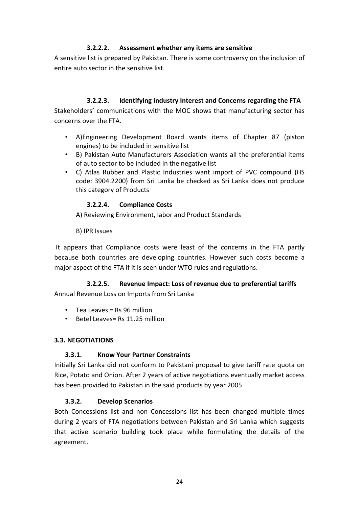#### **3.2.2.2. Assessment whether any items are sensitive**

A sensitive list is prepared by Pakistan. There is some controversy on the inclusion of entire auto sector in the sensitive list.

#### **3.2.2.3. Identifying Industry Interest and Concerns regarding the FTA**

Stakeholders' communications with the MOC shows that manufacturing sector has concerns over the FTA.

- A)Engineering Development Board wants items of Chapter 87 (piston engines) to be included in sensitive list
- B) Pakistan Auto Manufacturers Association wants all the preferential items of auto sector to be included in the negative list
- C) Atlas Rubber and Plastic Industries want import of PVC compound (HS code: 3904.2200) from Sri Lanka be checked as Sri Lanka does not produce this category of Products

#### **3.2.2.4. Compliance Costs**

A) Reviewing Environment, labor and Product Standards

B) IPR Issues

 It appears that Compliance costs were least of the concerns in the FTA partly because both countries are developing countries. However such costs become a major aspect of the FTA if it is seen under WTO rules and regulations.

## **3.2.2.5. Revenue Impact: Loss of revenue due to preferential tariffs**

Annual Revenue Loss on Imports from Sri Lanka

- $\cdot$  Tea Leaves = Rs 96 million
- Betel Leaves= Rs 11.25 million

#### **3.3. NEGOTIATIONS**

#### **3.3.1. Know Your Partner Constraints**

Initially Sri Lanka did not conform to Pakistani proposal to give tariff rate quota on Rice, Potato and Onion. After 2 years of active negotiations eventually market access has been provided to Pakistan in the said products by year 2005.

#### **3.3.2. Develop Scenarios**

Both Concessions list and non Concessions list has been changed multiple times during 2 years of FTA negotiations between Pakistan and Sri Lanka which suggests that active scenario building took place while formulating the details of the agreement.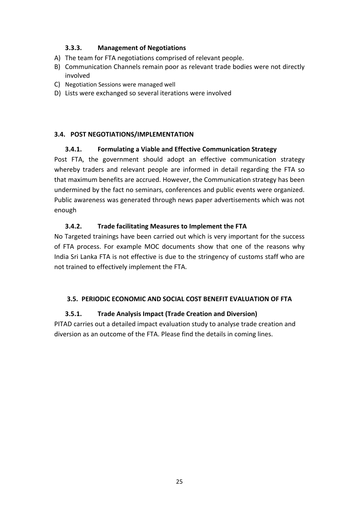#### **3.3.3. Management of Negotiations**

- A) The team for FTA negotiations comprised of relevant people.
- B) Communication Channels remain poor as relevant trade bodies were not directly involved
- C) Negotiation Sessions were managed well
- D) Lists were exchanged so several iterations were involved

#### **3.4. POST NEGOTIATIONS/IMPLEMENTATION**

#### **3.4.1. Formulating a Viable and Effective Communication Strategy**

Post FTA, the government should adopt an effective communication strategy whereby traders and relevant people are informed in detail regarding the FTA so that maximum benefits are accrued. However, the Communication strategy has been undermined by the fact no seminars, conferences and public events were organized. Public awareness was generated through news paper advertisements which was not enough

#### **3.4.2. Trade facilitating Measures to Implement the FTA**

No Targeted trainings have been carried out which is very important for the success of FTA process. For example MOC documents show that one of the reasons why India Sri Lanka FTA is not effective is due to the stringency of customs staff who are not trained to effectively implement the FTA.

#### **3.5. PERIODIC ECONOMIC AND SOCIAL COST BENEFIT EVALUATION OF FTA**

#### **3.5.1. Trade Analysis Impact (Trade Creation and Diversion)**

PITAD carries out a detailed impact evaluation study to analyse trade creation and diversion as an outcome of the FTA. Please find the details in coming lines.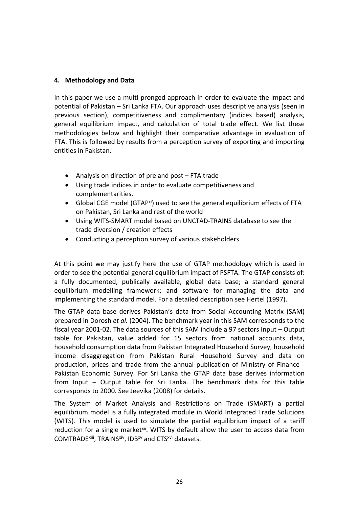#### **4. Methodology and Data**

In this paper we use a multi-pronged approach in order to evaluate the impact and potential of Pakistan – Sri Lanka FTA. Our approach uses descriptive analysis (seen in previous section), competitiveness and complimentary (indices based) analysis, general equilibrium impact, and calculation of total trade effect. We list these methodologies below and highlight their comparative advantage in evaluation of FTA. This is followed by results from a perception survey of exporting and importing entities in Pakistan.

- Analysis on direction of pre and post FTA trade
- Using trade indices in order to evaluate competitiveness and complementarities.
- Global CGE model (GTAP<sup>xi</sup>) used to see the general equilibrium effects of FTA on Pakistan, Sri Lanka and rest of the world
- Using WITS-SMART model based on UNCTAD-TRAINS database to see the trade diversion / creation effects
- Conducting a perception survey of various stakeholders

At this point we may justify here the use of GTAP methodology which is used in order to see the potential general equilibrium impact of PSFTA. The GTAP consists of: a fully documented, publically available, global data base; a standard general equilibrium modelling framework; and software for managing the data and implementing the standard model. For a detailed description see Hertel (1997).

The GTAP data base derives Pakistan's data from Social Accounting Matrix (SAM) prepared in Dorosh *et al.* (2004). The benchmark year in this SAM corresponds to the fiscal year 2001-02. The data sources of this SAM include a 97 sectors Input – Output table for Pakistan, value added for 15 sectors from national accounts data, household consumption data from Pakistan Integrated Household Survey, household income disaggregation from Pakistan Rural Household Survey and data on production, prices and trade from the annual publication of Ministry of Finance - Pakistan Economic Survey. For Sri Lanka the GTAP data base derives information from Input – Output table for Sri Lanka. The benchmark data for this table corresponds to 2000. See Jeevika (2008) for details.

The System of Market Analysis and Restrictions on Trade (SMART) a partial equilibrium model is a fully integrated module in World Integrated Trade Solutions (WITS). This model is used to simulate the partial equilibrium impact of a tariff reduction for a single market<sup>xii</sup>. WITS by default allow the user to access data from COMTRADExiii, TRAINSxiv, IDBxv and CTSxvi datasets.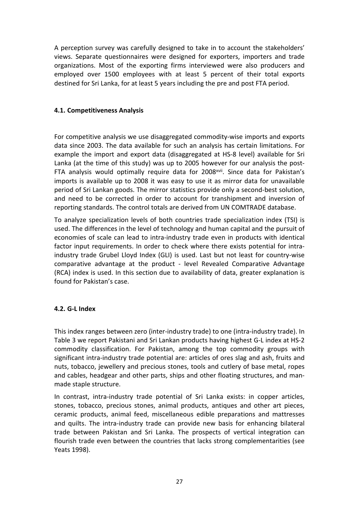A perception survey was carefully designed to take in to account the stakeholders' views. Separate questionnaires were designed for exporters, importers and trade organizations. Most of the exporting firms interviewed were also producers and employed over 1500 employees with at least 5 percent of their total exports destined for Sri Lanka, for at least 5 years including the pre and post FTA period.

#### **4.1. Competitiveness Analysis**

For competitive analysis we use disaggregated commodity-wise imports and exports data since 2003. The data available for such an analysis has certain limitations. For example the import and export data (disaggregated at HS-8 level) available for Sri Lanka (at the time of this study) was up to 2005 however for our analysis the post-FTA analysis would optimally require data for 2008<sup>xvii</sup>. Since data for Pakistan's imports is available up to 2008 it was easy to use it as mirror data for unavailable period of Sri Lankan goods. The mirror statistics provide only a second-best solution, and need to be corrected in order to account for transhipment and inversion of reporting standards. The control totals are derived from UN COMTRADE database.

To analyze specialization levels of both countries trade specialization index (TSI) is used. The differences in the level of technology and human capital and the pursuit of economies of scale can lead to intra-industry trade even in products with identical factor input requirements. In order to check where there exists potential for intraindustry trade Grubel Lloyd Index (GLI) is used. Last but not least for country-wise comparative advantage at the product - level Revealed Comparative Advantage (RCA) index is used. In this section due to availability of data, greater explanation is found for Pakistan's case.

#### **4.2. G-L Index**

This index ranges between zero (inter-industry trade) to one (intra-industry trade). In Table 3 we report Pakistani and Sri Lankan products having highest G-L index at HS-2 commodity classification. For Pakistan, among the top commodity groups with significant intra-industry trade potential are: articles of ores slag and ash, fruits and nuts, tobacco, jewellery and precious stones, tools and cutlery of base metal, ropes and cables, headgear and other parts, ships and other floating structures, and manmade staple structure.

In contrast, intra-industry trade potential of Sri Lanka exists: in copper articles, stones, tobacco, precious stones, animal products, antiques and other art pieces, ceramic products, animal feed, miscellaneous edible preparations and mattresses and quilts. The intra-industry trade can provide new basis for enhancing bilateral trade between Pakistan and Sri Lanka. The prospects of vertical integration can flourish trade even between the countries that lacks strong complementarities (see Yeats 1998).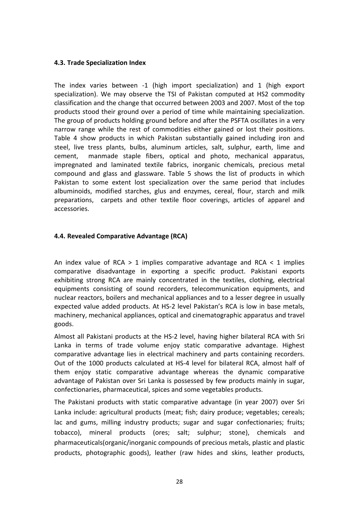#### **4.3. Trade Specialization Index**

The index varies between -1 (high import specialization) and 1 (high export specialization). We may observe the TSI of Pakistan computed at HS2 commodity classification and the change that occurred between 2003 and 2007. Most of the top products stood their ground over a period of time while maintaining specialization. The group of products holding ground before and after the PSFTA oscillates in a very narrow range while the rest of commodities either gained or lost their positions. Table 4 show products in which Pakistan substantially gained including iron and steel, live tress plants, bulbs, aluminum articles, salt, sulphur, earth, lime and cement, manmade staple fibers, optical and photo, mechanical apparatus, impregnated and laminated textile fabrics, inorganic chemicals, precious metal compound and glass and glassware. Table 5 shows the list of products in which Pakistan to some extent lost specialization over the same period that includes albuminoids, modified starches, glus and enzymes, cereal, flour, starch and milk preparations, carpets and other textile floor coverings, articles of apparel and accessories.

#### **4.4. Revealed Comparative Advantage (RCA)**

An index value of RCA  $> 1$  implies comparative advantage and RCA  $< 1$  implies comparative disadvantage in exporting a specific product. Pakistani exports exhibiting strong RCA are mainly concentrated in the textiles, clothing, electrical equipments consisting of sound recorders, telecommunication equipments, and nuclear reactors, boilers and mechanical appliances and to a lesser degree in usually expected value added products. At HS-2 level Pakistan's RCA is low in base metals, machinery, mechanical appliances, optical and cinematographic apparatus and travel goods.

Almost all Pakistani products at the HS-2 level, having higher bilateral RCA with Sri Lanka in terms of trade volume enjoy static comparative advantage. Highest comparative advantage lies in electrical machinery and parts containing recorders. Out of the 1000 products calculated at HS-4 level for bilateral RCA, almost half of them enjoy static comparative advantage whereas the dynamic comparative advantage of Pakistan over Sri Lanka is possessed by few products mainly in sugar, confectionaries, pharmaceutical, spices and some vegetables products.

The Pakistani products with static comparative advantage (in year 2007) over Sri Lanka include: agricultural products (meat; fish; dairy produce; vegetables; cereals; lac and gums, milling industry products; sugar and sugar confectionaries; fruits; tobacco), mineral products (ores; salt; sulphur; stone), chemicals and pharmaceuticals(organic/inorganic compounds of precious metals, plastic and plastic products, photographic goods), leather (raw hides and skins, leather products,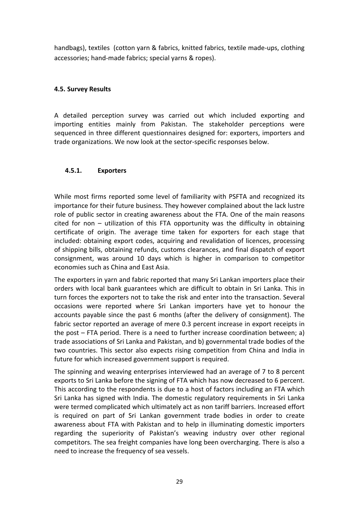handbags), textiles (cotton yarn & fabrics, knitted fabrics, textile made-ups, clothing accessories; hand-made fabrics; special yarns & ropes).

#### **4.5. Survey Results**

A detailed perception survey was carried out which included exporting and importing entities mainly from Pakistan. The stakeholder perceptions were sequenced in three different questionnaires designed for: exporters, importers and trade organizations. We now look at the sector-specific responses below.

#### **4.5.1. Exporters**

While most firms reported some level of familiarity with PSFTA and recognized its importance for their future business. They however complained about the lack lustre role of public sector in creating awareness about the FTA. One of the main reasons cited for non – utilization of this FTA opportunity was the difficulty in obtaining certificate of origin. The average time taken for exporters for each stage that included: obtaining export codes, acquiring and revalidation of licences, processing of shipping bills, obtaining refunds, customs clearances, and final dispatch of export consignment, was around 10 days which is higher in comparison to competitor economies such as China and East Asia.

The exporters in yarn and fabric reported that many Sri Lankan importers place their orders with local bank guarantees which are difficult to obtain in Sri Lanka. This in turn forces the exporters not to take the risk and enter into the transaction. Several occasions were reported where Sri Lankan importers have yet to honour the accounts payable since the past 6 months (after the delivery of consignment). The fabric sector reported an average of mere 0.3 percent increase in export receipts in the post – FTA period. There is a need to further increase coordination between; a) trade associations of Sri Lanka and Pakistan, and b) governmental trade bodies of the two countries. This sector also expects rising competition from China and India in future for which increased government support is required.

The spinning and weaving enterprises interviewed had an average of 7 to 8 percent exports to Sri Lanka before the signing of FTA which has now decreased to 6 percent. This according to the respondents is due to a host of factors including an FTA which Sri Lanka has signed with India. The domestic regulatory requirements in Sri Lanka were termed complicated which ultimately act as non tariff barriers. Increased effort is required on part of Sri Lankan government trade bodies in order to create awareness about FTA with Pakistan and to help in illuminating domestic importers regarding the superiority of Pakistan's weaving industry over other regional competitors. The sea freight companies have long been overcharging. There is also a need to increase the frequency of sea vessels.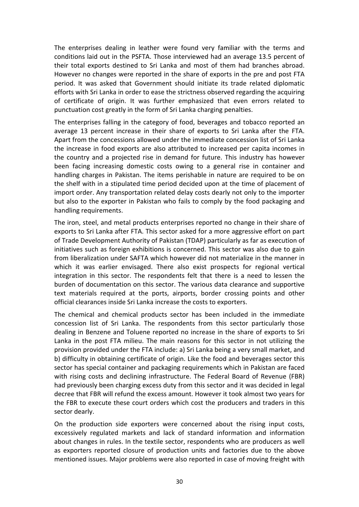The enterprises dealing in leather were found very familiar with the terms and conditions laid out in the PSFTA. Those interviewed had an average 13.5 percent of their total exports destined to Sri Lanka and most of them had branches abroad. However no changes were reported in the share of exports in the pre and post FTA period. It was asked that Government should initiate its trade related diplomatic efforts with Sri Lanka in order to ease the strictness observed regarding the acquiring of certificate of origin. It was further emphasized that even errors related to punctuation cost greatly in the form of Sri Lanka charging penalties.

The enterprises falling in the category of food, beverages and tobacco reported an average 13 percent increase in their share of exports to Sri Lanka after the FTA. Apart from the concessions allowed under the immediate concession list of Sri Lanka the increase in food exports are also attributed to increased per capita incomes in the country and a projected rise in demand for future. This industry has however been facing increasing domestic costs owing to a general rise in container and handling charges in Pakistan. The items perishable in nature are required to be on the shelf with in a stipulated time period decided upon at the time of placement of import order. Any transportation related delay costs dearly not only to the importer but also to the exporter in Pakistan who fails to comply by the food packaging and handling requirements.

The iron, steel, and metal products enterprises reported no change in their share of exports to Sri Lanka after FTA. This sector asked for a more aggressive effort on part of Trade Development Authority of Pakistan (TDAP) particularly as far as execution of initiatives such as foreign exhibitions is concerned. This sector was also due to gain from liberalization under SAFTA which however did not materialize in the manner in which it was earlier envisaged. There also exist prospects for regional vertical integration in this sector. The respondents felt that there is a need to lessen the burden of documentation on this sector. The various data clearance and supportive text materials required at the ports, airports, border crossing points and other official clearances inside Sri Lanka increase the costs to exporters.

The chemical and chemical products sector has been included in the immediate concession list of Sri Lanka. The respondents from this sector particularly those dealing in Benzene and Toluene reported no increase in the share of exports to Sri Lanka in the post FTA milieu. The main reasons for this sector in not utilizing the provision provided under the FTA include: a) Sri Lanka being a very small market, and b) difficulty in obtaining certificate of origin. Like the food and beverages sector this sector has special container and packaging requirements which in Pakistan are faced with rising costs and declining infrastructure. The Federal Board of Revenue (FBR) had previously been charging excess duty from this sector and it was decided in legal decree that FBR will refund the excess amount. However it took almost two years for the FBR to execute these court orders which cost the producers and traders in this sector dearly.

On the production side exporters were concerned about the rising input costs, excessively regulated markets and lack of standard information and information about changes in rules. In the textile sector, respondents who are producers as well as exporters reported closure of production units and factories due to the above mentioned issues. Major problems were also reported in case of moving freight with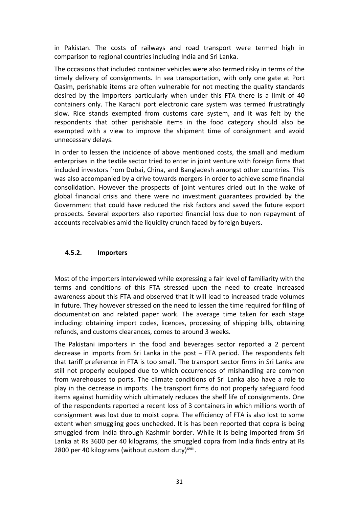in Pakistan. The costs of railways and road transport were termed high in comparison to regional countries including India and Sri Lanka.

The occasions that included container vehicles were also termed risky in terms of the timely delivery of consignments. In sea transportation, with only one gate at Port Qasim, perishable items are often vulnerable for not meeting the quality standards desired by the importers particularly when under this FTA there is a limit of 40 containers only. The Karachi port electronic care system was termed frustratingly slow. Rice stands exempted from customs care system, and it was felt by the respondents that other perishable items in the food category should also be exempted with a view to improve the shipment time of consignment and avoid unnecessary delays.

In order to lessen the incidence of above mentioned costs, the small and medium enterprises in the textile sector tried to enter in joint venture with foreign firms that included investors from Dubai, China, and Bangladesh amongst other countries. This was also accompanied by a drive towards mergers in order to achieve some financial consolidation. However the prospects of joint ventures dried out in the wake of global financial crisis and there were no investment guarantees provided by the Government that could have reduced the risk factors and saved the future export prospects. Several exporters also reported financial loss due to non repayment of accounts receivables amid the liquidity crunch faced by foreign buyers.

#### **4.5.2. Importers**

Most of the importers interviewed while expressing a fair level of familiarity with the terms and conditions of this FTA stressed upon the need to create increased awareness about this FTA and observed that it will lead to increased trade volumes in future. They however stressed on the need to lessen the time required for filing of documentation and related paper work. The average time taken for each stage including: obtaining import codes, licences, processing of shipping bills, obtaining refunds, and customs clearances, comes to around 3 weeks.

The Pakistani importers in the food and beverages sector reported a 2 percent decrease in imports from Sri Lanka in the post – FTA period. The respondents felt that tariff preference in FTA is too small. The transport sector firms in Sri Lanka are still not properly equipped due to which occurrences of mishandling are common from warehouses to ports. The climate conditions of Sri Lanka also have a role to play in the decrease in imports. The transport firms do not properly safeguard food items against humidity which ultimately reduces the shelf life of consignments. One of the respondents reported a recent loss of 3 containers in which millions worth of consignment was lost due to moist copra. The efficiency of FTA is also lost to some extent when smuggling goes unchecked. It is has been reported that copra is being smuggled from India through Kashmir border. While it is being imported from Sri Lanka at Rs 3600 per 40 kilograms, the smuggled copra from India finds entry at Rs 2800 per 40 kilograms (without custom duty)xviii.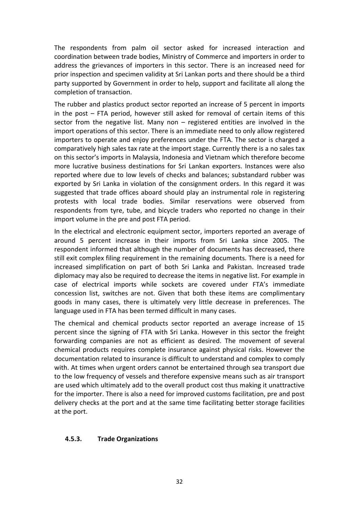The respondents from palm oil sector asked for increased interaction and coordination between trade bodies, Ministry of Commerce and importers in order to address the grievances of importers in this sector. There is an increased need for prior inspection and specimen validity at Sri Lankan ports and there should be a third party supported by Government in order to help, support and facilitate all along the completion of transaction.

The rubber and plastics product sector reported an increase of 5 percent in imports in the post – FTA period, however still asked for removal of certain items of this sector from the negative list. Many non – registered entities are involved in the import operations of this sector. There is an immediate need to only allow registered importers to operate and enjoy preferences under the FTA. The sector is charged a comparatively high sales tax rate at the import stage. Currently there is a no sales tax on this sector's imports in Malaysia, Indonesia and Vietnam which therefore become more lucrative business destinations for Sri Lankan exporters. Instances were also reported where due to low levels of checks and balances; substandard rubber was exported by Sri Lanka in violation of the consignment orders. In this regard it was suggested that trade offices aboard should play an instrumental role in registering protests with local trade bodies. Similar reservations were observed from respondents from tyre, tube, and bicycle traders who reported no change in their import volume in the pre and post FTA period.

In the electrical and electronic equipment sector, importers reported an average of around 5 percent increase in their imports from Sri Lanka since 2005. The respondent informed that although the number of documents has decreased, there still exit complex filing requirement in the remaining documents. There is a need for increased simplification on part of both Sri Lanka and Pakistan. Increased trade diplomacy may also be required to decrease the items in negative list. For example in case of electrical imports while sockets are covered under FTA's immediate concession list, switches are not. Given that both these items are complimentary goods in many cases, there is ultimately very little decrease in preferences. The language used in FTA has been termed difficult in many cases.

The chemical and chemical products sector reported an average increase of 15 percent since the signing of FTA with Sri Lanka. However in this sector the freight forwarding companies are not as efficient as desired. The movement of several chemical products requires complete insurance against physical risks. However the documentation related to insurance is difficult to understand and complex to comply with. At times when urgent orders cannot be entertained through sea transport due to the low frequency of vessels and therefore expensive means such as air transport are used which ultimately add to the overall product cost thus making it unattractive for the importer. There is also a need for improved customs facilitation, pre and post delivery checks at the port and at the same time facilitating better storage facilities at the port.

#### **4.5.3. Trade Organizations**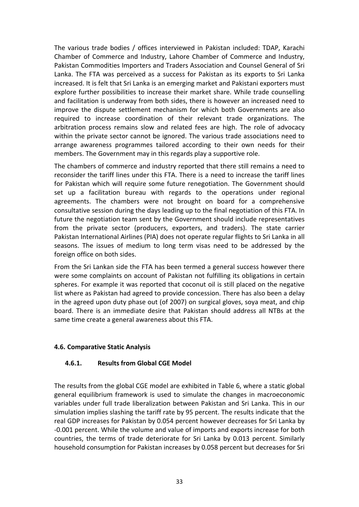The various trade bodies / offices interviewed in Pakistan included: TDAP, Karachi Chamber of Commerce and Industry, Lahore Chamber of Commerce and Industry, Pakistan Commodities Importers and Traders Association and Counsel General of Sri Lanka. The FTA was perceived as a success for Pakistan as its exports to Sri Lanka increased. It is felt that Sri Lanka is an emerging market and Pakistani exporters must explore further possibilities to increase their market share. While trade counselling and facilitation is underway from both sides, there is however an increased need to improve the dispute settlement mechanism for which both Governments are also required to increase coordination of their relevant trade organizations. The arbitration process remains slow and related fees are high. The role of advocacy within the private sector cannot be ignored. The various trade associations need to arrange awareness programmes tailored according to their own needs for their members. The Government may in this regards play a supportive role.

The chambers of commerce and industry reported that there still remains a need to reconsider the tariff lines under this FTA. There is a need to increase the tariff lines for Pakistan which will require some future renegotiation. The Government should set up a facilitation bureau with regards to the operations under regional agreements. The chambers were not brought on board for a comprehensive consultative session during the days leading up to the final negotiation of this FTA. In future the negotiation team sent by the Government should include representatives from the private sector (producers, exporters, and traders). The state carrier Pakistan International Airlines (PIA) does not operate regular flights to Sri Lanka in all seasons. The issues of medium to long term visas need to be addressed by the foreign office on both sides.

From the Sri Lankan side the FTA has been termed a general success however there were some complaints on account of Pakistan not fulfilling its obligations in certain spheres. For example it was reported that coconut oil is still placed on the negative list where as Pakistan had agreed to provide concession. There has also been a delay in the agreed upon duty phase out (of 2007) on surgical gloves, soya meat, and chip board. There is an immediate desire that Pakistan should address all NTBs at the same time create a general awareness about this FTA.

#### **4.6. Comparative Static Analysis**

#### **4.6.1. Results from Global CGE Model**

The results from the global CGE model are exhibited in Table 6, where a static global general equilibrium framework is used to simulate the changes in macroeconomic variables under full trade liberalization between Pakistan and Sri Lanka. This in our simulation implies slashing the tariff rate by 95 percent. The results indicate that the real GDP increases for Pakistan by 0.054 percent however decreases for Sri Lanka by -0.001 percent. While the volume and value of imports and exports increase for both countries, the terms of trade deteriorate for Sri Lanka by 0.013 percent. Similarly household consumption for Pakistan increases by 0.058 percent but decreases for Sri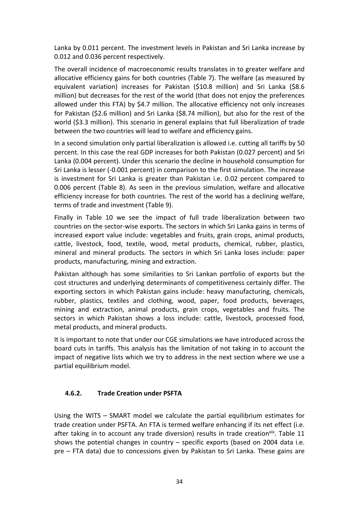Lanka by 0.011 percent. The investment levels in Pakistan and Sri Lanka increase by 0.012 and 0.036 percent respectively.

The overall incidence of macroeconomic results translates in to greater welfare and allocative efficiency gains for both countries (Table 7). The welfare (as measured by equivalent variation) increases for Pakistan (\$10.8 million) and Sri Lanka (\$8.6 million) but decreases for the rest of the world (that does not enjoy the preferences allowed under this FTA) by \$4.7 million. The allocative efficiency not only increases for Pakistan (\$2.6 million) and Sri Lanka (\$8.74 million), but also for the rest of the world (\$3.3 million). This scenario in general explains that full liberalization of trade between the two countries will lead to welfare and efficiency gains.

In a second simulation only partial liberalization is allowed i.e. cutting all tariffs by 50 percent. In this case the real GDP increases for both Pakistan (0.027 percent) and Sri Lanka (0.004 percent). Under this scenario the decline in household consumption for Sri Lanka is lesser (-0.001 percent) in comparison to the first simulation. The increase is investment for Sri Lanka is greater than Pakistan i.e. 0.02 percent compared to 0.006 percent (Table 8). As seen in the previous simulation, welfare and allocative efficiency increase for both countries. The rest of the world has a declining welfare, terms of trade and investment (Table 9).

Finally in Table 10 we see the impact of full trade liberalization between two countries on the sector-wise exports. The sectors in which Sri Lanka gains in terms of increased export value include: vegetables and fruits, grain crops, animal products, cattle, livestock, food, textile, wood, metal products, chemical, rubber, plastics, mineral and mineral products. The sectors in which Sri Lanka loses include: paper products, manufacturing, mining and extraction.

Pakistan although has some similarities to Sri Lankan portfolio of exports but the cost structures and underlying determinants of competitiveness certainly differ. The exporting sectors in which Pakistan gains include: heavy manufacturing, chemicals, rubber, plastics, textiles and clothing, wood, paper, food products, beverages, mining and extraction, animal products, grain crops, vegetables and fruits. The sectors in which Pakistan shows a loss include: cattle, livestock, processed food, metal products, and mineral products.

It is important to note that under our CGE simulations we have introduced across the board cuts in tariffs. This analysis has the limitation of not taking in to account the impact of negative lists which we try to address in the next section where we use a partial equilibrium model.

## **4.6.2. Trade Creation under PSFTA**

Using the WITS – SMART model we calculate the partial equilibrium estimates for trade creation under PSFTA. An FTA is termed welfare enhancing if its net effect (i.e. after taking in to account any trade diversion) results in trade creation<sup>xix</sup>. Table 11 shows the potential changes in country – specific exports (based on 2004 data i.e. pre – FTA data) due to concessions given by Pakistan to Sri Lanka. These gains are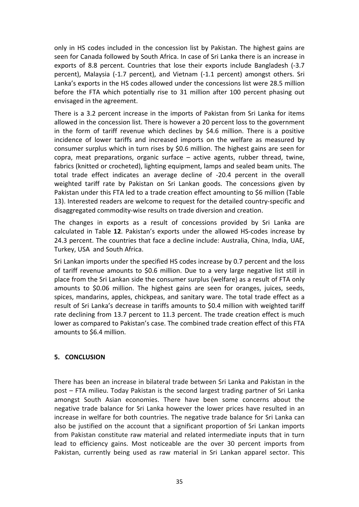only in HS codes included in the concession list by Pakistan. The highest gains are seen for Canada followed by South Africa. In case of Sri Lanka there is an increase in exports of 8.8 percent. Countries that lose their exports include Bangladesh (-3.7 percent), Malaysia (-1.7 percent), and Vietnam (-1.1 percent) amongst others. Sri Lanka's exports in the HS codes allowed under the concessions list were 28.5 million before the FTA which potentially rise to 31 million after 100 percent phasing out envisaged in the agreement.

There is a 3.2 percent increase in the imports of Pakistan from Sri Lanka for items allowed in the concession list. There is however a 20 percent loss to the government in the form of tariff revenue which declines by \$4.6 million. There is a positive incidence of lower tariffs and increased imports on the welfare as measured by consumer surplus which in turn rises by \$0.6 million. The highest gains are seen for copra, meat preparations, organic surface – active agents, rubber thread, twine, fabrics (knitted or crocheted), lighting equipment, lamps and sealed beam units. The total trade effect indicates an average decline of -20.4 percent in the overall weighted tariff rate by Pakistan on Sri Lankan goods. The concessions given by Pakistan under this FTA led to a trade creation effect amounting to \$6 million (Table 13). Interested readers are welcome to request for the detailed country-specific and disaggregated commodity-wise results on trade diversion and creation.

The changes in exports as a result of concessions provided by Sri Lanka are calculated in Table **12**. Pakistan's exports under the allowed HS-codes increase by 24.3 percent. The countries that face a decline include: Australia, China, India, UAE, Turkey, USA and South Africa.

Sri Lankan imports under the specified HS codes increase by 0.7 percent and the loss of tariff revenue amounts to \$0.6 million. Due to a very large negative list still in place from the Sri Lankan side the consumer surplus (welfare) as a result of FTA only amounts to \$0.06 million. The highest gains are seen for oranges, juices, seeds, spices, mandarins, apples, chickpeas, and sanitary ware. The total trade effect as a result of Sri Lanka's decrease in tariffs amounts to \$0.4 million with weighted tariff rate declining from 13.7 percent to 11.3 percent. The trade creation effect is much lower as compared to Pakistan's case. The combined trade creation effect of this FTA amounts to \$6.4 million.

#### **5. CONCLUSION**

There has been an increase in bilateral trade between Sri Lanka and Pakistan in the post – FTA milieu. Today Pakistan is the second largest trading partner of Sri Lanka amongst South Asian economies. There have been some concerns about the negative trade balance for Sri Lanka however the lower prices have resulted in an increase in welfare for both countries. The negative trade balance for Sri Lanka can also be justified on the account that a significant proportion of Sri Lankan imports from Pakistan constitute raw material and related intermediate inputs that in turn lead to efficiency gains. Most noticeable are the over 30 percent imports from Pakistan, currently being used as raw material in Sri Lankan apparel sector. This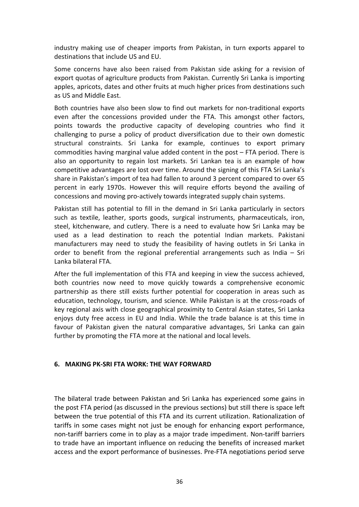industry making use of cheaper imports from Pakistan, in turn exports apparel to destinations that include US and EU.

Some concerns have also been raised from Pakistan side asking for a revision of export quotas of agriculture products from Pakistan. Currently Sri Lanka is importing apples, apricots, dates and other fruits at much higher prices from destinations such as US and Middle East.

Both countries have also been slow to find out markets for non-traditional exports even after the concessions provided under the FTA. This amongst other factors, points towards the productive capacity of developing countries who find it challenging to purse a policy of product diversification due to their own domestic structural constraints. Sri Lanka for example, continues to export primary commodities having marginal value added content in the post – FTA period. There is also an opportunity to regain lost markets. Sri Lankan tea is an example of how competitive advantages are lost over time. Around the signing of this FTA Sri Lanka's share in Pakistan's import of tea had fallen to around 3 percent compared to over 65 percent in early 1970s. However this will require efforts beyond the availing of concessions and moving pro-actively towards integrated supply chain systems.

Pakistan still has potential to fill in the demand in Sri Lanka particularly in sectors such as textile, leather, sports goods, surgical instruments, pharmaceuticals, iron, steel, kitchenware, and cutlery. There is a need to evaluate how Sri Lanka may be used as a lead destination to reach the potential Indian markets. Pakistani manufacturers may need to study the feasibility of having outlets in Sri Lanka in order to benefit from the regional preferential arrangements such as India – Sri Lanka bilateral FTA.

After the full implementation of this FTA and keeping in view the success achieved, both countries now need to move quickly towards a comprehensive economic partnership as there still exists further potential for cooperation in areas such as education, technology, tourism, and science. While Pakistan is at the cross-roads of key regional axis with close geographical proximity to Central Asian states, Sri Lanka enjoys duty free access in EU and India. While the trade balance is at this time in favour of Pakistan given the natural comparative advantages, Sri Lanka can gain further by promoting the FTA more at the national and local levels.

#### **6. MAKING PK-SRI FTA WORK: THE WAY FORWARD**

The bilateral trade between Pakistan and Sri Lanka has experienced some gains in the post FTA period (as discussed in the previous sections) but still there is space left between the true potential of this FTA and its current utilization. Rationalization of tariffs in some cases might not just be enough for enhancing export performance, non-tariff barriers come in to play as a major trade impediment. Non-tariff barriers to trade have an important influence on reducing the benefits of increased market access and the export performance of businesses. Pre-FTA negotiations period serve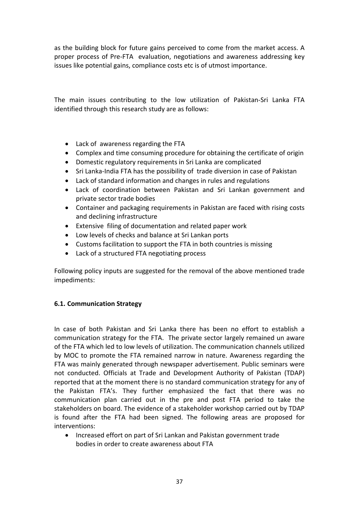as the building block for future gains perceived to come from the market access. A proper process of Pre-FTA evaluation, negotiations and awareness addressing key issues like potential gains, compliance costs etc is of utmost importance.

The main issues contributing to the low utilization of Pakistan-Sri Lanka FTA identified through this research study are as follows:

- Lack of awareness regarding the FTA
- Complex and time consuming procedure for obtaining the certificate of origin
- Domestic regulatory requirements in Sri Lanka are complicated
- Sri Lanka-India FTA has the possibility of trade diversion in case of Pakistan
- Lack of standard information and changes in rules and regulations
- Lack of coordination between Pakistan and Sri Lankan government and private sector trade bodies
- Container and packaging requirements in Pakistan are faced with rising costs and declining infrastructure
- Extensive filing of documentation and related paper work
- Low levels of checks and balance at Sri Lankan ports
- Customs facilitation to support the FTA in both countries is missing
- Lack of a structured FTA negotiating process

Following policy inputs are suggested for the removal of the above mentioned trade impediments:

#### **6.1. Communication Strategy**

In case of both Pakistan and Sri Lanka there has been no effort to establish a communication strategy for the FTA. The private sector largely remained un aware of the FTA which led to low levels of utilization. The communication channels utilized by MOC to promote the FTA remained narrow in nature. Awareness regarding the FTA was mainly generated through newspaper advertisement. Public seminars were not conducted. Officials at Trade and Development Authority of Pakistan (TDAP) reported that at the moment there is no standard communication strategy for any of the Pakistan FTA's. They further emphasized the fact that there was no communication plan carried out in the pre and post FTA period to take the stakeholders on board. The evidence of a stakeholder workshop carried out by TDAP is found after the FTA had been signed. The following areas are proposed for interventions:

• Increased effort on part of Sri Lankan and Pakistan government trade bodies in order to create awareness about FTA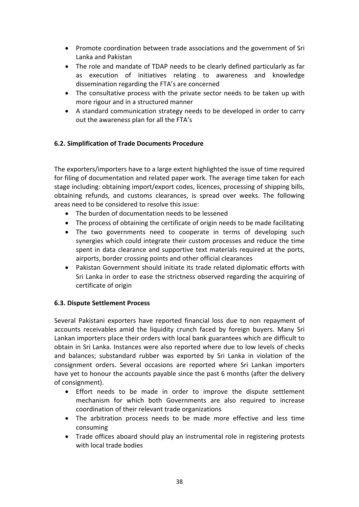- Promote coordination between trade associations and the government of Sri Lanka and Pakistan
- The role and mandate of TDAP needs to be clearly defined particularly as far as execution of initiatives relating to awareness and knowledge dissemination regarding the FTA's are concerned
- The consultative process with the private sector needs to be taken up with more rigour and in a structured manner
- A standard communication strategy needs to be developed in order to carry out the awareness plan for all the FTA's

#### **6.2. Simplification of Trade Documents Procedure**

The exporters/importers have to a large extent highlighted the issue of time required for filing of documentation and related paper work. The average time taken for each stage including: obtaining import/export codes, licences, processing of shipping bills, obtaining refunds, and customs clearances, is spread over weeks. The following areas need to be considered to resolve this issue:

- The burden of documentation needs to be lessened
- The process of obtaining the certificate of origin needs to be made facilitating
- The two governments need to cooperate in terms of developing such synergies which could integrate their custom processes and reduce the time spent in data clearance and supportive text materials required at the ports, airports, border crossing points and other official clearances
- Pakistan Government should initiate its trade related diplomatic efforts with Sri Lanka in order to ease the strictness observed regarding the acquiring of certificate of origin

#### **6.3. Dispute Settlement Process**

Several Pakistani exporters have reported financial loss due to non repayment of accounts receivables amid the liquidity crunch faced by foreign buyers. Many Sri Lankan importers place their orders with local bank guarantees which are difficult to obtain in Sri Lanka. Instances were also reported where due to low levels of checks and balances; substandard rubber was exported by Sri Lanka in violation of the consignment orders. Several occasions are reported where Sri Lankan importers have yet to honour the accounts payable since the past 6 months (after the delivery of consignment).

- Effort needs to be made in order to improve the dispute settlement mechanism for which both Governments are also required to increase coordination of their relevant trade organizations
- The arbitration process needs to be made more effective and less time consuming
- Trade offices aboard should play an instrumental role in registering protests with local trade bodies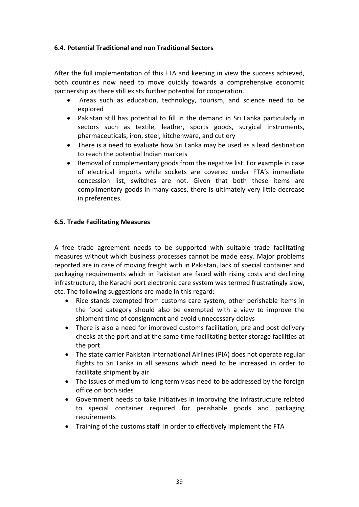#### **6.4. Potential Traditional and non Traditional Sectors**

After the full implementation of this FTA and keeping in view the success achieved, both countries now need to move quickly towards a comprehensive economic partnership as there still exists further potential for cooperation.

- Areas such as education, technology, tourism, and science need to be explored
- Pakistan still has potential to fill in the demand in Sri Lanka particularly in sectors such as textile, leather, sports goods, surgical instruments, pharmaceuticals, iron, steel, kitchenware, and cutlery
- There is a need to evaluate how Sri Lanka may be used as a lead destination to reach the potential Indian markets
- Removal of complementary goods from the negative list. For example in case of electrical imports while sockets are covered under FTA's immediate concession list, switches are not. Given that both these items are complimentary goods in many cases, there is ultimately very little decrease in preferences.

#### **6.5. Trade Facilitating Measures**

A free trade agreement needs to be supported with suitable trade facilitating measures without which business processes cannot be made easy. Major problems reported are in case of moving freight with in Pakistan, lack of special container and packaging requirements which in Pakistan are faced with rising costs and declining infrastructure, the Karachi port electronic care system was termed frustratingly slow, etc. The following suggestions are made in this regard:

- Rice stands exempted from customs care system, other perishable items in the food category should also be exempted with a view to improve the shipment time of consignment and avoid unnecessary delays
- There is also a need for improved customs facilitation, pre and post delivery checks at the port and at the same time facilitating better storage facilities at the port
- The state carrier Pakistan International Airlines (PIA) does not operate regular flights to Sri Lanka in all seasons which need to be increased in order to facilitate shipment by air
- The issues of medium to long term visas need to be addressed by the foreign office on both sides
- Government needs to take initiatives in improving the infrastructure related to special container required for perishable goods and packaging requirements
- Training of the customs staff in order to effectively implement the FTA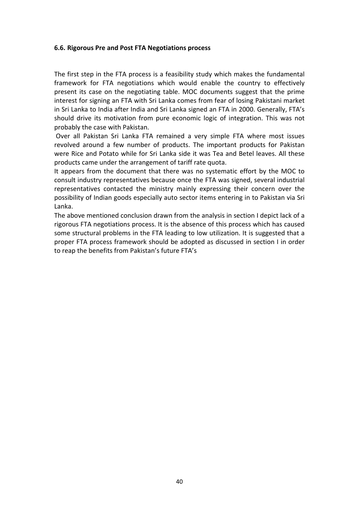#### **6.6. Rigorous Pre and Post FTA Negotiations process**

The first step in the FTA process is a feasibility study which makes the fundamental framework for FTA negotiations which would enable the country to effectively present its case on the negotiating table. MOC documents suggest that the prime interest for signing an FTA with Sri Lanka comes from fear of losing Pakistani market in Sri Lanka to India after India and Sri Lanka signed an FTA in 2000. Generally, FTA's should drive its motivation from pure economic logic of integration. This was not probably the case with Pakistan.

 Over all Pakistan Sri Lanka FTA remained a very simple FTA where most issues revolved around a few number of products. The important products for Pakistan were Rice and Potato while for Sri Lanka side it was Tea and Betel leaves. All these products came under the arrangement of tariff rate quota.

It appears from the document that there was no systematic effort by the MOC to consult industry representatives because once the FTA was signed, several industrial representatives contacted the ministry mainly expressing their concern over the possibility of Indian goods especially auto sector items entering in to Pakistan via Sri Lanka.

The above mentioned conclusion drawn from the analysis in section I depict lack of a rigorous FTA negotiations process. It is the absence of this process which has caused some structural problems in the FTA leading to low utilization. It is suggested that a proper FTA process framework should be adopted as discussed in section I in order to reap the benefits from Pakistan's future FTA's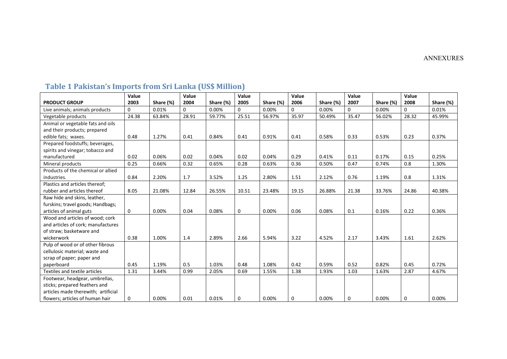#### ANNEXURES

#### **PRODUCT GROUP Value 2003 Share (%) Value 2004 Share (%) Value 2005 Share (%) Value 2006 Share (%) Value 2007 Share (%) Value 2008 Share (%)** Live animals; animals products 0 0.01% 0 0.00% 0 0.00% 0 0.00% 0 0.00% 0 0.01% Vegetable products | 24.38 | 63.84% | 28.91 | 59.77% | 25.51 | 56.97% | 35.97 | 50.49% | 35.47 | 56.02% | 28.32 | 45.99% Animal or vegetable fats and oils and their products; prepared edible fats; waxes. | 0.48 | 1.27% | 0.41 | 0.84% | 0.41 | 0.91% | 0.41 | 0.58% | 0.33 | 0.53% | 0.23 | 0.37% Prepared foodstuffs; beverages, spirits and vinegar; tobacco and manufactured 0.02 0.06% 0.02 0.04% 0.02 0.04% 0.29 0.41% 0.11 0.17% 0.15 0.25% Mineral products 0.25 0.66% 0.32 0.65% 0.28 0.63% 0.36 0.50% 0.47 0.74% 0.8 1.30% Products of the chemical or allied industries. 0.84 2.20% 1.7 3.52% 1.25 2.80% 1.51 2.12% 0.76 1.19% 0.8 1.31% Plastics and articles thereof; rubber and articles thereof 8.05 21.08% 12.84 26.55% 10.51 23.48% 19.15 26.88% 21.38 33.76% 24.86 40.38% Raw hide and skins, leather, furskins; travel goods; Handbags; articles of animal guts 0.000 0.000% 0.04 0.08% 0 0.000% 0.006 0.08% 0.1 0.16% 0.22 0.36% Wood and articles of wood; cork and articles of cork; manufactures of straw; basketware and wickerwork | 0.38 | 1.00% | 1.4 | 2.89% | 2.66 | 5.94% | 3.22 | 4.52% | 2.17 | 3.43% | 1.61 | 2.62% Pulp of wood or of other fibrous cellulosic material; waste and scrap of paper; paper and paperboard 0.45 1.19% 0.5 1.03% 0.48 1.08% 0.42 0.59% 0.52 0.82% 0.45 0.72% Textiles and textile articles 1.31 3.44% 0.99 2.05% 0.69 1.55% 1.38 1.93% 1.03 1.63% 2.87 4.67% Footwear, headgear, umbrellas, sticks; prepared feathers and articles made therewith; artificial flowers; articles of human hair 0 0.00% 0.01 0.01% 0 0.00% 0 0.00% 0 0.00% 0 0.00%

## **Table 1 Pakistan's Imports from Sri Lanka (US\$ Million)**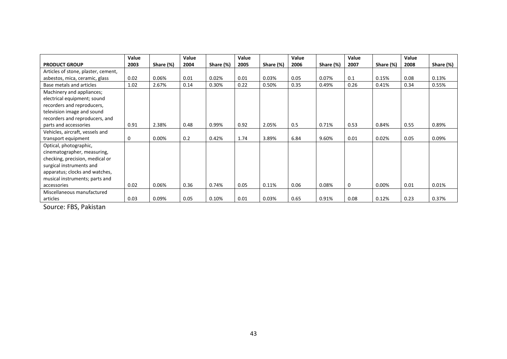|                                     | Value |           | Value |           | Value |           | Value |           | Value       |           | Value |           |
|-------------------------------------|-------|-----------|-------|-----------|-------|-----------|-------|-----------|-------------|-----------|-------|-----------|
| <b>PRODUCT GROUP</b>                | 2003  | Share (%) | 2004  | Share (%) | 2005  | Share (%) | 2006  | Share (%) | 2007        | Share (%) | 2008  | Share (%) |
| Articles of stone, plaster, cement, |       |           |       |           |       |           |       |           |             |           |       |           |
| asbestos, mica, ceramic, glass      | 0.02  | 0.06%     | 0.01  | 0.02%     | 0.01  | 0.03%     | 0.05  | 0.07%     | 0.1         | 0.15%     | 0.08  | 0.13%     |
| Base metals and articles            | 1.02  | 2.67%     | 0.14  | 0.30%     | 0.22  | 0.50%     | 0.35  | 0.49%     | 0.26        | 0.41%     | 0.34  | 0.55%     |
| Machinery and appliances;           |       |           |       |           |       |           |       |           |             |           |       |           |
| electrical equipment; sound         |       |           |       |           |       |           |       |           |             |           |       |           |
| recorders and reproducers,          |       |           |       |           |       |           |       |           |             |           |       |           |
| television image and sound          |       |           |       |           |       |           |       |           |             |           |       |           |
| recorders and reproducers, and      |       |           |       |           |       |           |       |           |             |           |       |           |
| parts and accessories               | 0.91  | 2.38%     | 0.48  | 0.99%     | 0.92  | 2.05%     | 0.5   | 0.71%     | 0.53        | 0.84%     | 0.55  | 0.89%     |
| Vehicles, aircraft, vessels and     |       |           |       |           |       |           |       |           |             |           |       |           |
| transport equipment                 | 0     | 0.00%     | 0.2   | 0.42%     | 1.74  | 3.89%     | 6.84  | 9.60%     | 0.01        | 0.02%     | 0.05  | 0.09%     |
| Optical, photographic,              |       |           |       |           |       |           |       |           |             |           |       |           |
| cinematographer, measuring,         |       |           |       |           |       |           |       |           |             |           |       |           |
| checking, precision, medical or     |       |           |       |           |       |           |       |           |             |           |       |           |
| surgical instruments and            |       |           |       |           |       |           |       |           |             |           |       |           |
| apparatus; clocks and watches,      |       |           |       |           |       |           |       |           |             |           |       |           |
| musical instruments; parts and      |       |           |       |           |       |           |       |           |             |           |       |           |
| accessories                         | 0.02  | 0.06%     | 0.36  | 0.74%     | 0.05  | 0.11%     | 0.06  | 0.08%     | $\mathbf 0$ | 0.00%     | 0.01  | 0.01%     |
| Miscellaneous manufactured          |       |           |       |           |       |           |       |           |             |           |       |           |
| articles                            | 0.03  | 0.09%     | 0.05  | 0.10%     | 0.01  | 0.03%     | 0.65  | 0.91%     | 0.08        | 0.12%     | 0.23  | 0.37%     |

Source: FBS, Pakistan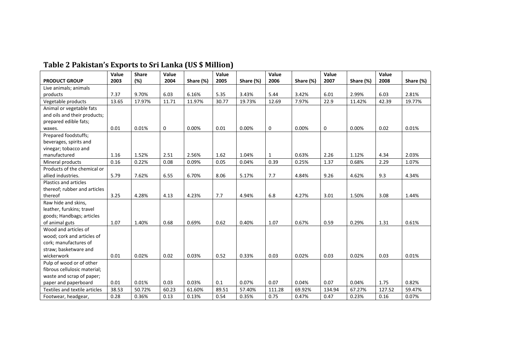|                               | Value | <b>Share</b> | Value |           | Value |           | Value  |           | Value       |           | Value  |           |
|-------------------------------|-------|--------------|-------|-----------|-------|-----------|--------|-----------|-------------|-----------|--------|-----------|
| <b>PRODUCT GROUP</b>          | 2003  | (%)          | 2004  | Share (%) | 2005  | Share (%) | 2006   | Share (%) | 2007        | Share (%) | 2008   | Share (%) |
| Live animals; animals         |       |              |       |           |       |           |        |           |             |           |        |           |
| products                      | 7.37  | 9.70%        | 6.03  | 6.16%     | 5.35  | 3.43%     | 5.44   | 3.42%     | 6.01        | 2.99%     | 6.03   | 2.81%     |
| Vegetable products            | 13.65 | 17.97%       | 11.71 | 11.97%    | 30.77 | 19.73%    | 12.69  | 7.97%     | 22.9        | 11.42%    | 42.39  | 19.77%    |
| Animal or vegetable fats      |       |              |       |           |       |           |        |           |             |           |        |           |
| and oils and their products;  |       |              |       |           |       |           |        |           |             |           |        |           |
| prepared edible fats;         |       |              |       |           |       |           |        |           |             |           |        |           |
| waxes.                        | 0.01  | 0.01%        | 0     | 0.00%     | 0.01  | 0.00%     | 0      | 0.00%     | $\mathbf 0$ | 0.00%     | 0.02   | 0.01%     |
| Prepared foodstuffs;          |       |              |       |           |       |           |        |           |             |           |        |           |
| beverages, spirits and        |       |              |       |           |       |           |        |           |             |           |        |           |
| vinegar; tobacco and          |       |              |       |           |       |           |        |           |             |           |        |           |
| manufactured                  | 1.16  | 1.52%        | 2.51  | 2.56%     | 1.62  | 1.04%     | 1      | 0.63%     | 2.26        | 1.12%     | 4.34   | 2.03%     |
| Mineral products              | 0.16  | 0.22%        | 0.08  | 0.09%     | 0.05  | 0.04%     | 0.39   | 0.25%     | 1.37        | 0.68%     | 2.29   | 1.07%     |
| Products of the chemical or   |       |              |       |           |       |           |        |           |             |           |        |           |
| allied industries.            | 5.79  | 7.62%        | 6.55  | 6.70%     | 8.06  | 5.17%     | 7.7    | 4.84%     | 9.26        | 4.62%     | 9.3    | 4.34%     |
| Plastics and articles         |       |              |       |           |       |           |        |           |             |           |        |           |
| thereof; rubber and articles  |       |              |       |           |       |           |        |           |             |           |        |           |
| thereof                       | 3.25  | 4.28%        | 4.13  | 4.23%     | 7.7   | 4.94%     | 6.8    | 4.27%     | 3.01        | 1.50%     | 3.08   | 1.44%     |
| Raw hide and skins,           |       |              |       |           |       |           |        |           |             |           |        |           |
| leather, furskins; travel     |       |              |       |           |       |           |        |           |             |           |        |           |
| goods; Handbags; articles     |       |              |       |           |       |           |        |           |             |           |        |           |
| of animal guts                | 1.07  | 1.40%        | 0.68  | 0.69%     | 0.62  | 0.40%     | 1.07   | 0.67%     | 0.59        | 0.29%     | 1.31   | 0.61%     |
| Wood and articles of          |       |              |       |           |       |           |        |           |             |           |        |           |
| wood; cork and articles of    |       |              |       |           |       |           |        |           |             |           |        |           |
| cork: manufactures of         |       |              |       |           |       |           |        |           |             |           |        |           |
| straw; basketware and         |       |              |       |           |       |           |        |           |             |           |        |           |
| wickerwork                    | 0.01  | 0.02%        | 0.02  | 0.03%     | 0.52  | 0.33%     | 0.03   | 0.02%     | 0.03        | 0.02%     | 0.03   | 0.01%     |
| Pulp of wood or of other      |       |              |       |           |       |           |        |           |             |           |        |           |
| fibrous cellulosic material;  |       |              |       |           |       |           |        |           |             |           |        |           |
| waste and scrap of paper;     |       |              |       |           |       |           |        |           |             |           |        |           |
| paper and paperboard          | 0.01  | 0.01%        | 0.03  | 0.03%     | 0.1   | 0.07%     | 0.07   | 0.04%     | 0.07        | 0.04%     | 1.75   | 0.82%     |
| Textiles and textile articles | 38.53 | 50.72%       | 60.23 | 61.60%    | 89.51 | 57.40%    | 111.28 | 69.92%    | 134.94      | 67.27%    | 127.52 | 59.47%    |
| Footwear, headgear,           | 0.28  | 0.36%        | 0.13  | 0.13%     | 0.54  | 0.35%     | 0.75   | 0.47%     | 0.47        | 0.23%     | 0.16   | 0.07%     |

# **Table 2 Pakistan's Exports to Sri Lanka (US \$ Million)**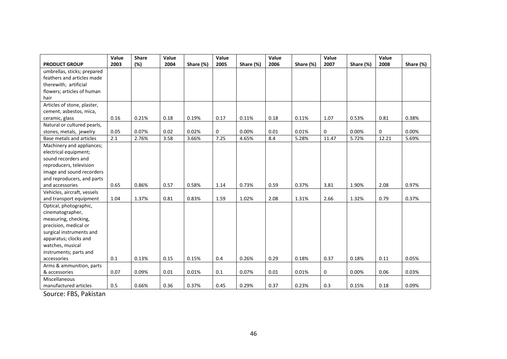|                             | Value | <b>Share</b> | Value |           | Value       |           | Value |           | Value       |           | Value |           |
|-----------------------------|-------|--------------|-------|-----------|-------------|-----------|-------|-----------|-------------|-----------|-------|-----------|
| <b>PRODUCT GROUP</b>        | 2003  | (%)          | 2004  | Share (%) | 2005        | Share (%) | 2006  | Share (%) | 2007        | Share (%) | 2008  | Share (%) |
| umbrellas, sticks; prepared |       |              |       |           |             |           |       |           |             |           |       |           |
| feathers and articles made  |       |              |       |           |             |           |       |           |             |           |       |           |
| therewith; artificial       |       |              |       |           |             |           |       |           |             |           |       |           |
| flowers; articles of human  |       |              |       |           |             |           |       |           |             |           |       |           |
| hair                        |       |              |       |           |             |           |       |           |             |           |       |           |
| Articles of stone, plaster, |       |              |       |           |             |           |       |           |             |           |       |           |
| cement, asbestos, mica,     |       |              |       |           |             |           |       |           |             |           |       |           |
| ceramic, glass              | 0.16  | 0.21%        | 0.18  | 0.19%     | 0.17        | 0.11%     | 0.18  | 0.11%     | 1.07        | 0.53%     | 0.81  | 0.38%     |
| Natural or cultured pearls, |       |              |       |           |             |           |       |           |             |           |       |           |
| stones, metals, jewelry     | 0.05  | 0.07%        | 0.02  | 0.02%     | $\mathbf 0$ | 0.00%     | 0.01  | 0.01%     | $\mathbf 0$ | 0.00%     | 0     | 0.00%     |
| Base metals and articles    | 2.1   | 2.76%        | 3.58  | 3.66%     | 7.25        | 4.65%     | 8.4   | 5.28%     | 11.47       | 5.72%     | 12.21 | 5.69%     |
| Machinery and appliances;   |       |              |       |           |             |           |       |           |             |           |       |           |
| electrical equipment;       |       |              |       |           |             |           |       |           |             |           |       |           |
| sound recorders and         |       |              |       |           |             |           |       |           |             |           |       |           |
| reproducers, television     |       |              |       |           |             |           |       |           |             |           |       |           |
| image and sound recorders   |       |              |       |           |             |           |       |           |             |           |       |           |
| and reproducers, and parts  |       |              |       |           |             |           |       |           |             |           |       |           |
| and accessories             | 0.65  | 0.86%        | 0.57  | 0.58%     | 1.14        | 0.73%     | 0.59  | 0.37%     | 3.81        | 1.90%     | 2.08  | 0.97%     |
| Vehicles, aircraft, vessels |       |              |       |           |             |           |       |           |             |           |       |           |
| and transport equipment     | 1.04  | 1.37%        | 0.81  | 0.83%     | 1.59        | 1.02%     | 2.08  | 1.31%     | 2.66        | 1.32%     | 0.79  | 0.37%     |
| Optical, photographic,      |       |              |       |           |             |           |       |           |             |           |       |           |
| cinematographer,            |       |              |       |           |             |           |       |           |             |           |       |           |
| measuring, checking,        |       |              |       |           |             |           |       |           |             |           |       |           |
| precision, medical or       |       |              |       |           |             |           |       |           |             |           |       |           |
| surgical instruments and    |       |              |       |           |             |           |       |           |             |           |       |           |
| apparatus; clocks and       |       |              |       |           |             |           |       |           |             |           |       |           |
| watches, musical            |       |              |       |           |             |           |       |           |             |           |       |           |
| instruments; parts and      |       |              |       |           |             |           |       |           |             |           |       |           |
| accessories                 | 0.1   | 0.13%        | 0.15  | 0.15%     | 0.4         | 0.26%     | 0.29  | 0.18%     | 0.37        | 0.18%     | 0.11  | 0.05%     |
| Arms & ammunition, parts    |       |              |       |           |             |           |       |           |             |           |       |           |
| & accessories               | 0.07  | 0.09%        | 0.01  | 0.01%     | 0.1         | 0.07%     | 0.01  | 0.01%     | 0           | 0.00%     | 0.06  | 0.03%     |
| Miscellaneous               |       |              |       |           |             |           |       |           |             |           |       |           |
| manufactured articles       | 0.5   | 0.66%        | 0.36  | 0.37%     | 0.45        | 0.29%     | 0.37  | 0.23%     | 0.3         | 0.15%     | 0.18  | 0.09%     |

Source: FBS, Pakistan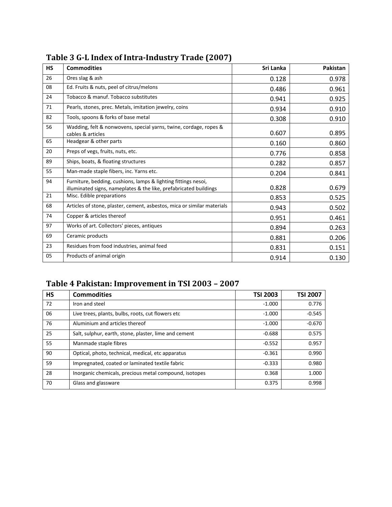| <b>HS</b> | <b>Commodities</b>                                                      | Sri Lanka | Pakistan |
|-----------|-------------------------------------------------------------------------|-----------|----------|
| 26        | Ores slag & ash                                                         | 0.128     | 0.978    |
| 08        | Ed. Fruits & nuts, peel of citrus/melons                                | 0.486     | 0.961    |
| 24        | Tobacco & manuf. Tobacco substitutes                                    | 0.941     | 0.925    |
| 71        | Pearls, stones, prec. Metals, imitation jewelry, coins                  | 0.934     | 0.910    |
| 82        | Tools, spoons & forks of base metal                                     | 0.308     | 0.910    |
| 56        | Wadding, felt & nonwovens, special yarns, twine, cordage, ropes &       |           |          |
|           | cables & articles                                                       | 0.607     | 0.895    |
| 65        | Headgear & other parts                                                  | 0.160     | 0.860    |
| 20        | Preps of vegs, fruits, nuts, etc.                                       | 0.776     | 0.858    |
| 89        | Ships, boats, & floating structures                                     | 0.282     | 0.857    |
| 55        | Man-made staple fibers, inc. Yarns etc.                                 | 0.204     | 0.841    |
| 94        | Furniture, bedding, cushions, lamps & lighting fittings nesoi,          |           |          |
|           | illuminated signs, nameplates & the like, prefabricated buildings       | 0.828     | 0.679    |
| 21        | Misc. Edible preparations                                               | 0.853     | 0.525    |
| 68        | Articles of stone, plaster, cement, asbestos, mica or similar materials | 0.943     | 0.502    |
| 74        | Copper & articles thereof                                               | 0.951     | 0.461    |
| 97        | Works of art. Collectors' pieces, antiques                              | 0.894     | 0.263    |
| 69        | Ceramic products                                                        | 0.881     | 0.206    |
| 23        | Residues from food industries, animal feed                              | 0.831     | 0.151    |
| 05        | Products of animal origin                                               | 0.914     | 0.130    |

# **Table 3 G-L Index of Intra-Industry Trade (2007)**

# **Table 4 Pakistan: Improvement in TSI 2003 – 2007**

| <b>HS</b> | <b>Commodities</b>                                     | <b>TSI 2003</b> | <b>TSI 2007</b> |
|-----------|--------------------------------------------------------|-----------------|-----------------|
| 72        | Iron and steel                                         | $-1.000$        | 0.776           |
| 06        | Live trees, plants, bulbs, roots, cut flowers etc.     | $-1.000$        | $-0.545$        |
| 76        | Aluminium and articles thereof                         | $-1.000$        | $-0.670$        |
| 25        | Salt, sulphur, earth, stone, plaster, lime and cement  | $-0.688$        | 0.575           |
| 55        | Manmade staple fibres                                  | $-0.552$        | 0.957           |
| 90        | Optical, photo, technical, medical, etc apparatus      | $-0.361$        | 0.990           |
| 59        | Impregnated, coated or laminated textile fabric        | $-0.333$        | 0.980           |
| 28        | Inorganic chemicals, precious metal compound, isotopes | 0.368           | 1.000           |
| 70        | Glass and glassware                                    | 0.375           | 0.998           |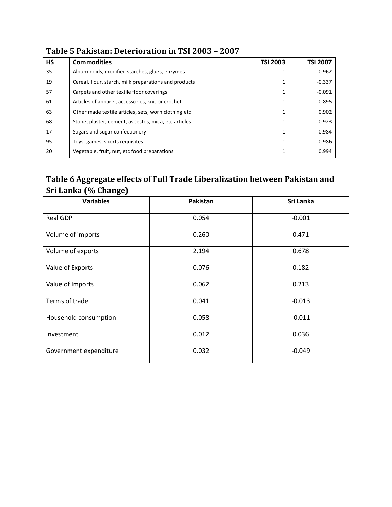| <b>HS</b> | <b>Commodities</b>                                    | <b>TSI 2003</b> | <b>TSI 2007</b> |
|-----------|-------------------------------------------------------|-----------------|-----------------|
| 35        | Albuminoids, modified starches, glues, enzymes        |                 | $-0.962$        |
| 19        | Cereal, flour, starch, milk preparations and products |                 | $-0.337$        |
| 57        | Carpets and other textile floor coverings             |                 | $-0.091$        |
| 61        | Articles of apparel, accessories, knit or crochet     | 1               | 0.895           |
| 63        | Other made textile articles, sets, worn clothing etc  |                 | 0.902           |
| 68        | Stone, plaster, cement, asbestos, mica, etc articles  | 1               | 0.923           |
| 17        | Sugars and sugar confectionery                        | 1               | 0.984           |
| 95        | Toys, games, sports requisites                        |                 | 0.986           |
| 20        | Vegetable, fruit, nut, etc food preparations          | 1               | 0.994           |

# **Table 5 Pakistan: Deterioration in TSI 2003 – 2007**

# **Table 6 Aggregate effects of Full Trade Liberalization between Pakistan and Sri Lanka (% Change)**

| <b>Variables</b>       | Pakistan | Sri Lanka |
|------------------------|----------|-----------|
| <b>Real GDP</b>        | 0.054    | $-0.001$  |
| Volume of imports      | 0.260    | 0.471     |
| Volume of exports      | 2.194    | 0.678     |
| Value of Exports       | 0.076    | 0.182     |
| Value of Imports       | 0.062    | 0.213     |
| Terms of trade         | 0.041    | $-0.013$  |
| Household consumption  | 0.058    | $-0.011$  |
| Investment             | 0.012    | 0.036     |
| Government expenditure | 0.032    | $-0.049$  |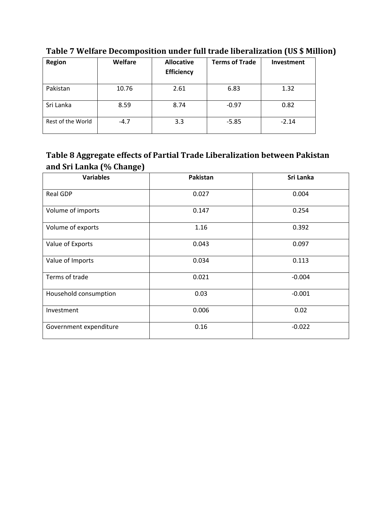| <b>Region</b>     | Welfare | <b>Allocative</b><br><b>Efficiency</b> | <b>Terms of Trade</b> | Investment |
|-------------------|---------|----------------------------------------|-----------------------|------------|
| Pakistan          | 10.76   | 2.61                                   | 6.83                  | 1.32       |
| Sri Lanka         | 8.59    | 8.74                                   | $-0.97$               | 0.82       |
| Rest of the World | $-4.7$  | 3.3                                    | $-5.85$               | $-2.14$    |

**Table 7 Welfare Decomposition under full trade liberalization (US \$ Million)**

# **Table 8 Aggregate effects of Partial Trade Liberalization between Pakistan and Sri Lanka (% Change)**

| <b>Variables</b>       | <b>Pakistan</b> | Sri Lanka |
|------------------------|-----------------|-----------|
| <b>Real GDP</b>        | 0.027           | 0.004     |
| Volume of imports      | 0.147           | 0.254     |
| Volume of exports      | 1.16            | 0.392     |
| Value of Exports       | 0.043           | 0.097     |
| Value of Imports       | 0.034           | 0.113     |
| Terms of trade         | 0.021           | $-0.004$  |
| Household consumption  | 0.03            | $-0.001$  |
| Investment             | 0.006           | 0.02      |
| Government expenditure | 0.16            | $-0.022$  |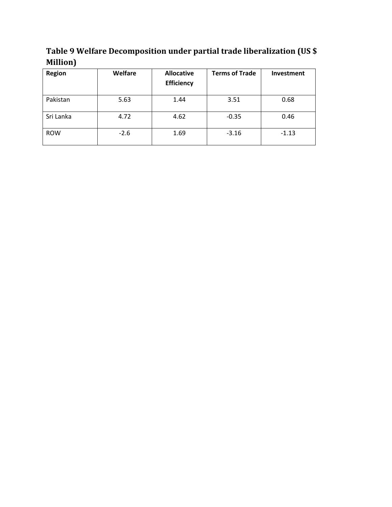**Table 9 Welfare Decomposition under partial trade liberalization (US \$ Million)**

| <b>Region</b> | Welfare | <b>Allocative</b><br><b>Efficiency</b> | <b>Terms of Trade</b> | <b>Investment</b> |
|---------------|---------|----------------------------------------|-----------------------|-------------------|
| Pakistan      | 5.63    | 1.44                                   | 3.51                  | 0.68              |
| Sri Lanka     | 4.72    | 4.62                                   | $-0.35$               | 0.46              |
| <b>ROW</b>    | $-2.6$  | 1.69                                   | $-3.16$               | $-1.13$           |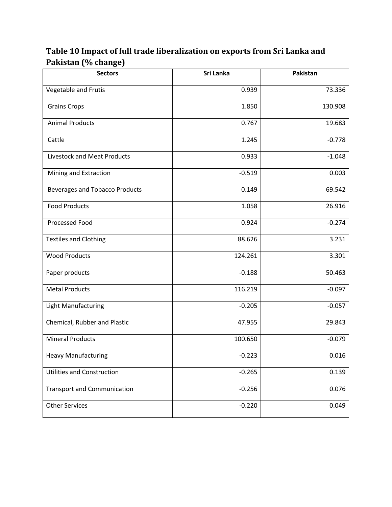| <b>Sectors</b>                        | Sri Lanka | Pakistan |  |
|---------------------------------------|-----------|----------|--|
| Vegetable and Frutis                  | 0.939     | 73.336   |  |
| <b>Grains Crops</b>                   | 1.850     | 130.908  |  |
| <b>Animal Products</b>                | 0.767     | 19.683   |  |
| Cattle                                | 1.245     | $-0.778$ |  |
| Livestock and Meat Products           | 0.933     | $-1.048$ |  |
| Mining and Extraction                 | $-0.519$  | 0.003    |  |
| <b>Beverages and Tobacco Products</b> | 0.149     | 69.542   |  |
| <b>Food Products</b>                  | 1.058     | 26.916   |  |
| Processed Food                        | 0.924     | $-0.274$ |  |
| <b>Textiles and Clothing</b>          | 88.626    | 3.231    |  |
| <b>Wood Products</b>                  | 124.261   | 3.301    |  |
| Paper products                        | $-0.188$  | 50.463   |  |
| <b>Metal Products</b>                 | 116.219   | $-0.097$ |  |
| Light Manufacturing                   | $-0.205$  | $-0.057$ |  |
| Chemical, Rubber and Plastic          | 47.955    | 29.843   |  |
| <b>Mineral Products</b>               | 100.650   | $-0.079$ |  |
| <b>Heavy Manufacturing</b>            | $-0.223$  | 0.016    |  |
| <b>Utilities and Construction</b>     | $-0.265$  | 0.139    |  |
| <b>Transport and Communication</b>    | $-0.256$  | 0.076    |  |
| <b>Other Services</b>                 | $-0.220$  | 0.049    |  |

# **Table 10 Impact of full trade liberalization on exports from Sri Lanka and Pakistan (% change)**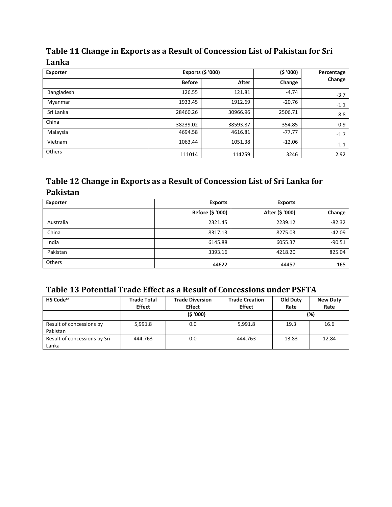# **Table 11 Change in Exports as a Result of Concession List of Pakistan for Sri Lanka**

| Exporter   |               | Exports (\$ '000) | (5'000)  | Percentage |
|------------|---------------|-------------------|----------|------------|
|            | <b>Before</b> | After             | Change   | Change     |
| Bangladesh | 126.55        | 121.81            | $-4.74$  | $-3.7$     |
| Myanmar    | 1933.45       | 1912.69           | $-20.76$ | $-1.1$     |
| Sri Lanka  | 28460.26      | 30966.96          | 2506.71  | 8.8        |
| China      | 38239.02      | 38593.87          | 354.85   | 0.9        |
| Malaysia   | 4694.58       | 4616.81           | $-77.77$ | $-1.7$     |
| Vietnam    | 1063.44       | 1051.38           | $-12.06$ | $-1.1$     |
| Others     | 111014        | 114259            | 3246     | 2.92       |

# **Table 12 Change in Exports as a Result of Concession List of Sri Lanka for Pakistan**

| Exporter  | <b>Exports</b>   | <b>Exports</b>  |          |
|-----------|------------------|-----------------|----------|
|           | Before (\$ '000) | After (\$ '000) | Change   |
| Australia | 2321.45          | 2239.12         | $-82.32$ |
| China     | 8317.13          | 8275.03         | $-42.09$ |
| India     | 6145.88          | 6055.37         | $-90.51$ |
| Pakistan  | 3393.16          | 4218.20         | 825.04   |
| Others    | 44622            | 44457           | 165      |

# **Table 13 Potential Trade Effect as a Result of Concessions under PSFTA**

| <b>HS Code</b> <sup>xx</sup> | <b>Trade Total</b><br><b>Effect</b> | <b>Trade Diversion</b><br><b>Effect</b> | <b>Trade Creation</b><br><b>Effect</b> | <b>Old Duty</b><br>Rate | <b>New Duty</b><br>Rate |
|------------------------------|-------------------------------------|-----------------------------------------|----------------------------------------|-------------------------|-------------------------|
|                              |                                     | (5'000)                                 |                                        |                         | (%)                     |
| Result of concessions by     | 5,991.8                             | 0.0                                     | 5,991.8                                | 19.3                    | 16.6                    |
| Pakistan                     |                                     |                                         |                                        |                         |                         |
| Result of concessions by Sri | 444.763                             | 0.0                                     | 444.763                                | 13.83                   | 12.84                   |
| Lanka                        |                                     |                                         |                                        |                         |                         |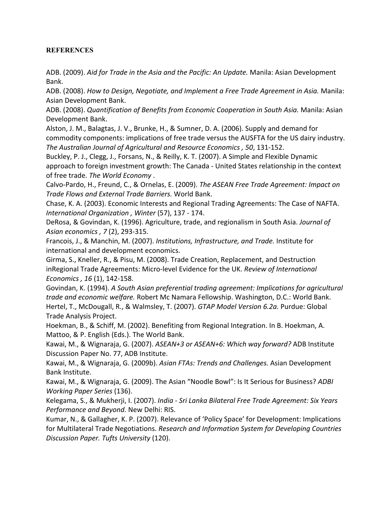#### **REFERENCES**

ADB. (2009). *Aid for Trade in the Asia and the Pacific: An Update.* Manila: Asian Development Bank.

ADB. (2008). *How to Design, Negotiate, and Implement a Free Trade Agreement in Asia.* Manila: Asian Development Bank.

ADB. (2008). *Quantification of Benefits from Economic Cooperation in South Asia.* Manila: Asian Development Bank.

Alston, J. M., Balagtas, J. V., Brunke, H., & Sumner, D. A. (2006). Supply and demand for commodity components: implications of free trade versus the AUSFTA for the US dairy industry. *The Australian Journal of Agricultural and Resource Economics , 50*, 131-152.

Buckley, P. J., Clegg, J., Forsans, N., & Reilly, K. T. (2007). A Simple and Flexible Dynamic approach to foreign investment growth: The Canada - United States relationship in the context of free trade. *The World Economy* .

Calvo-Pardo, H., Freund, C., & Ornelas, E. (2009). *The ASEAN Free Trade Agreement: Impact on Trade Flows and External Trade Barriers.* World Bank.

Chase, K. A. (2003). Economic Interests and Regional Trading Agreements: The Case of NAFTA. *International Organization , Winter* (57), 137 - 174.

DeRosa, & Govindan, K. (1996). Agriculture, trade, and regionalism in South Asia. *Journal of Asian economics , 7* (2), 293-315.

Francois, J., & Manchin, M. (2007). *Institutions, Infrastructure, and Trade.* Institute for international and development economics.

Girma, S., Kneller, R., & Pisu, M. (2008). Trade Creation, Replacement, and Destruction inRegional Trade Agreements: Micro-level Evidence for the UK. *Review of International Economics , 16* (1), 142-158.

Govindan, K. (1994). *A South Asian preferential trading agreement: Implications for agricultural trade and economic welfare.* Robert Mc Namara Fellowship. Washington, D.C.: World Bank. Hertel, T., McDougall, R., & Walmsley, T. (2007). *GTAP Model Version 6.2a.* Purdue: Global Trade Analysis Project.

Hoekman, B., & Schiff, M. (2002). Benefiting from Regional Integration. In B. Hoekman, A. Mattoo, & P. English (Eds.). The World Bank.

Kawai, M., & Wignaraja, G. (2007). *ASEAN+3 or ASEAN+6: Which way forward?* ADB Institute Discussion Paper No. 77, ADB Institute.

Kawai, M., & Wignaraja, G. (2009b). *Asian FTAs: Trends and Challenges.* Asian Development Bank Institute.

Kawai, M., & Wignaraja, G. (2009). The Asian "Noodle Bowl": Is It Serious for Business? *ADBI Working Paper Series* (136).

Kelegama, S., & Mukherji, I. (2007). *India - Sri Lanka Bilateral Free Trade Agreement: Six Years Performance and Beyond.* New Delhi: RIS.

Kumar, N., & Gallagher, K. P. (2007). Relevance of 'Policy Space' for Development: Implications for Multilateral Trade Negotiations. *Research and Information System for Developing Countries Discussion Paper. Tufts University* (120).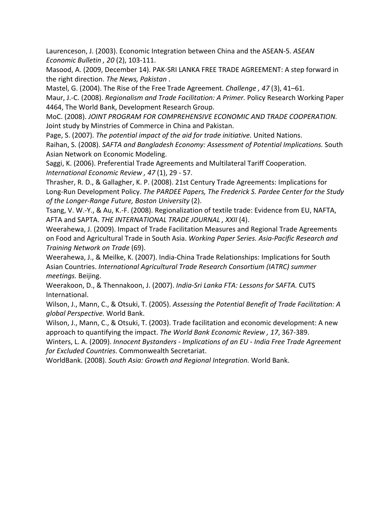Laurenceson, J. (2003). Economic Integration between China and the ASEAN-5. *ASEAN Economic Bulletin , 20* (2), 103-111.

Masood, A. (2009, December 14). PAK-SRI LANKA FREE TRADE AGREEMENT: A step forward in the right direction. *The News, Pakistan* .

Mastel, G. (2004). The Rise of the Free Trade Agreement. *Challenge , 47* (3), 41–61.

Maur, J.-C. (2008). *Regionalism and Trade Facilitation: A Primer.* Policy Research Working Paper 4464, The World Bank, Development Research Group.

MoC. (2008). *JOINT PROGRAM FOR COMPREHENSIVE ECONOMIC AND TRADE COOPERATION.* Joint study by Minstries of Commerce in China and Pakistan.

Page, S. (2007). *The potential impact of the aid for trade initiative.* United Nations.

Raihan, S. (2008). *SAFTA and Bangladesh Economy: Assessment of Potential Implications.* South Asian Network on Economic Modeling.

Saggi, K. (2006). Preferential Trade Agreements and Multilateral Tariff Cooperation. *International Economic Review , 47* (1), 29 - 57.

Thrasher, R. D., & Gallagher, K. P. (2008). 21st Century Trade Agreements: Implications for Long-Run Development Policy. *The PARDEE Papers, The Frederick S. Pardee Center for the Study of the Longer-Range Future, Boston University* (2).

Tsang, V. W.-Y., & Au, K.-F. (2008). Regionalization of textile trade: Evidence from EU, NAFTA, AFTA and SAPTA. *THE INTERNATIONAL TRADE JOURNAL , XXII* (4).

Weerahewa, J. (2009). Impact of Trade Facilitation Measures and Regional Trade Agreements on Food and Agricultural Trade in South Asia. *Working Paper Series. Asia-Pacific Research and Training Network on Trade* (69).

Weerahewa, J., & Meilke, K. (2007). India-China Trade Relationships: Implications for South Asian Countries. *International Agricultural Trade Research Consortium (IATRC) summer meetings.* Beijing.

Weerakoon, D., & Thennakoon, J. (2007). *India-Sri Lanka FTA: Lessons for SAFTA.* CUTS International.

Wilson, J., Mann, C., & Otsuki, T. (2005). *Assessing the Potential Benefit of Trade Facilitation: A global Perspective.* World Bank.

Wilson, J., Mann, C., & Otsuki, T. (2003). Trade facilitation and economic development: A new approach to quantifying the impact. *The World Bank Economic Review , 17*, 367-389.

Winters, L. A. (2009). *Innocent Bystanders - Implications of an EU - India Free Trade Agreement for Excluded Countries.* Commonwealth Secretariat.

WorldBank. (2008). *South Asia: Growth and Regional Integration.* World Bank.